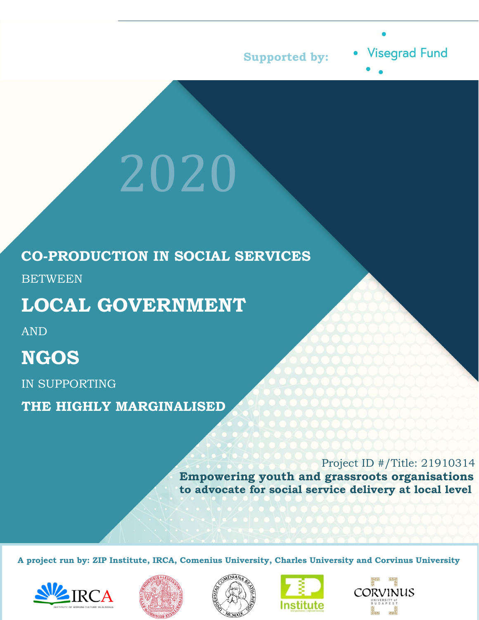

**Visegrad Fund** 

### **CO-PRODUCTION IN SOCIAL SERVICES**

2020

**BETWEEN** 

# **LOCAL GOVERNMENT**

AND

# **NGOS**

IN SUPPORTING

**THE HIGHLY MARGINALISED**

Project ID #/Title: 21910314 **Empowering youth and grassroots organisations to advocate for social service delivery at local level**

**A project run by: ZIP Institute, IRCA, Comenius University, Charles University and Corvinus University** 









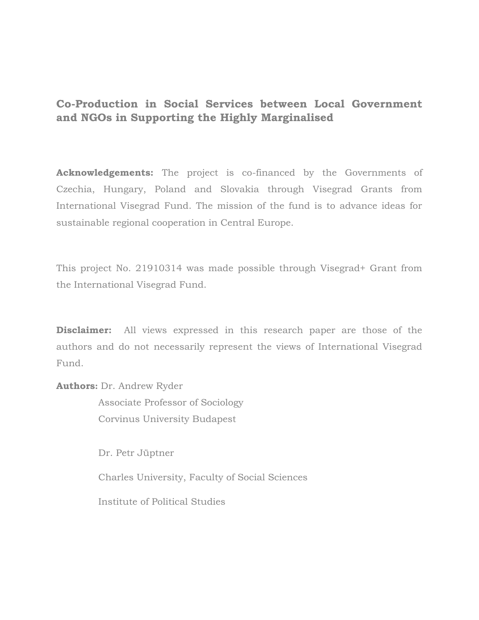#### **Co-Production in Social Services between Local Government and NGOs in Supporting the Highly Marginalised**

**Acknowledgements:** The project is co-financed by the Governments of Czechia, Hungary, Poland and Slovakia through Visegrad Grants from International Visegrad Fund. The mission of the fund is to advance ideas for sustainable regional cooperation in Central Europe.

This project No. 21910314 was made possible through Visegrad+ Grant from the International Visegrad Fund.

**Disclaimer:** All views expressed in this research paper are those of the authors and do not necessarily represent the views of International Visegrad Fund.

**Аuthors:** Dr. Andrew Ryder

 Associate Professor of Sociology Corvinus University Budapest

Dr. Petr Jüptner

Charles University, Faculty of Social Sciences

Institute of Political Studies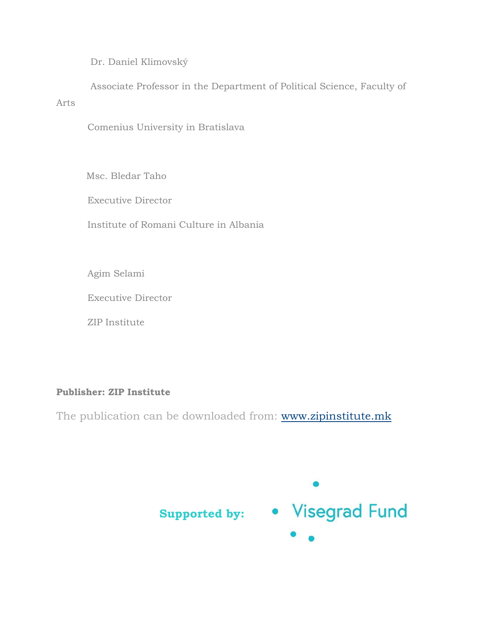Dr. Daniel Klimovský

 Associate Professor in the Department of Political Science, Faculty of Arts

Comenius University in Bratislava

Msc. Bledar Taho

Executive Director

Institute of Romani Culture in Albania

Agim Selami

Executive Director

ZIP Institute

#### **Publisher: ZIP Institute**

The publication can be downloaded from: [www.zipinstitute.mk](http://www.zipinstitute.mk/)

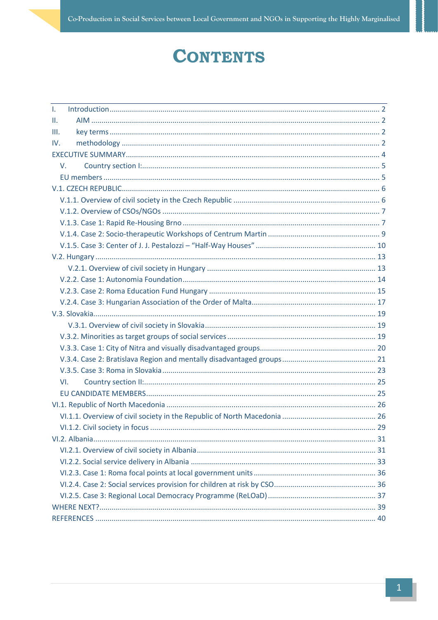# **CONTENTS**

| $\mathbf{L}$    |  |
|-----------------|--|
| $\mathbf{II}$ . |  |
| III.            |  |
| IV.             |  |
|                 |  |
| V.              |  |
|                 |  |
|                 |  |
|                 |  |
|                 |  |
|                 |  |
|                 |  |
|                 |  |
|                 |  |
|                 |  |
|                 |  |
|                 |  |
|                 |  |
|                 |  |
|                 |  |
|                 |  |
|                 |  |
|                 |  |
|                 |  |
| VI.             |  |
|                 |  |
|                 |  |
|                 |  |
|                 |  |
|                 |  |
|                 |  |
|                 |  |
|                 |  |
|                 |  |
|                 |  |
|                 |  |
|                 |  |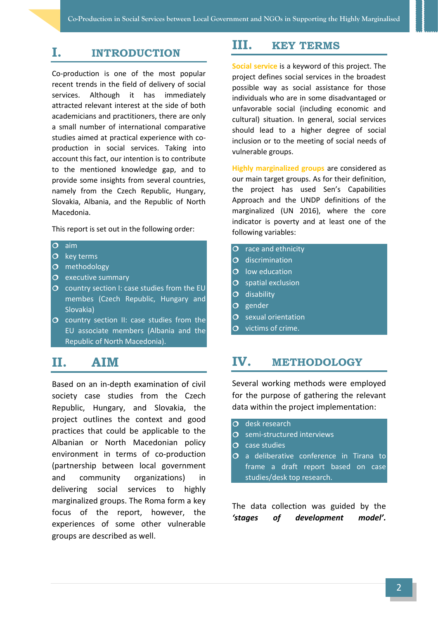#### <span id="page-5-0"></span>**I. INTRODUCTION**

Co-production is one of the most popular recent trends in the field of delivery of social services. Although it has immediately attracted relevant interest at the side of both academicians and practitioners, there are only a small number of international comparative studies aimed at practical experience with coproduction in social services. Taking into account this fact, our intention is to contribute to the mentioned knowledge gap, and to provide some insights from several countries, namely from the Czech Republic, Hungary, Slovakia, Albania, and the Republic of North Macedonia.

This report is set out in the following order:

#### $\overline{O}$  aim

- $\overline{O}$  key terms
- O methodology
- $O$  executive summary
- $\overline{O}$  country section I: case studies from the EU membes (Czech Republic, Hungary and Slovakia)
- $\overline{O}$  country section II: case studies from the EU associate members (Albania and the Republic of North Macedonia).

### <span id="page-5-1"></span>**II. AIM**

Based on an in-depth examination of civil society case studies from the Czech Republic, Hungary, and Slovakia, the project outlines the context and good practices that could be applicable to the Albanian or North Macedonian policy environment in terms of co-production (partnership between local government and community organizations) in delivering social services to highly marginalized groups. The Roma form a key focus of the report, however, the experiences of some other vulnerable groups are described as well.

#### <span id="page-5-2"></span>**III. KEY TERMS**

**Social service** is a keyword of this project. The project defines social services in the broadest possible way as social assistance for those individuals who are in some disadvantaged or unfavorable social (including economic and cultural) situation. In general, social services should lead to a higher degree of social inclusion or to the meeting of social needs of vulnerable groups.

**Highly marginalized groups** are considered as our main target groups. As for their definition, the project has used Sen's Capabilities Approach and the UNDP definitions of the marginalized (UN 2016), where the core indicator is poverty and at least one of the following variables:

- $\overline{O}$  race and ethnicity
- O discrimination
- $O$  low education
- $O$  spatial exclusion
- $O$  disability
- $O$  gender
- $O$  sexual orientation
- $\overline{O}$  victims of crime.

#### <span id="page-5-3"></span>**IV. METHODOLOGY**

Several working methods were employed for the purpose of gathering the relevant data within the project implementation:

- $\overline{O}$  desk research
- O semi-structured interviews
- $\overline{O}$  case studies
- O a deliberative conference in Tirana to frame a draft report based on case studies/desk top research.

The data collection was guided by the *'stages of development model'.*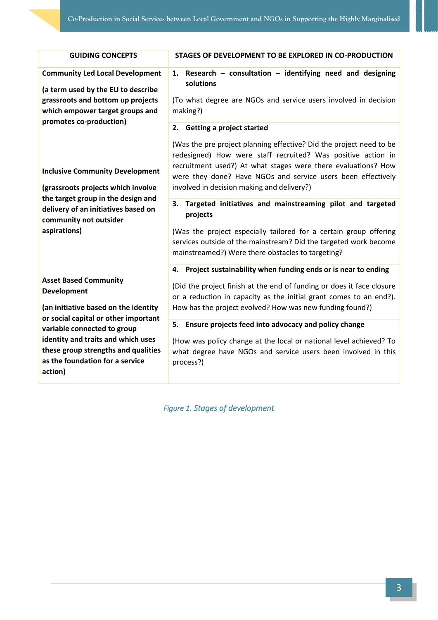| <b>GUIDING CONCEPTS</b>                                                                                                                                                                                                                                                                                                                                                                                                                            | STAGES OF DEVELOPMENT TO BE EXPLORED IN CO-PRODUCTION                                                                                                                                                                                                                                                                                         |
|----------------------------------------------------------------------------------------------------------------------------------------------------------------------------------------------------------------------------------------------------------------------------------------------------------------------------------------------------------------------------------------------------------------------------------------------------|-----------------------------------------------------------------------------------------------------------------------------------------------------------------------------------------------------------------------------------------------------------------------------------------------------------------------------------------------|
| <b>Community Led Local Development</b><br>(a term used by the EU to describe<br>grassroots and bottom up projects<br>which empower target groups and                                                                                                                                                                                                                                                                                               | Research - consultation - identifying need and designing<br>1.<br>solutions<br>(To what degree are NGOs and service users involved in decision<br>making?)                                                                                                                                                                                    |
| promotes co-production)<br><b>Inclusive Community Development</b>                                                                                                                                                                                                                                                                                                                                                                                  | 2. Getting a project started<br>(Was the pre project planning effective? Did the project need to be<br>redesigned) How were staff recruited? Was positive action in<br>recruitment used?) At what stages were there evaluations? How<br>were they done? Have NGOs and service users been effectively                                          |
| (grassroots projects which involve<br>the target group in the design and<br>delivery of an initiatives based on<br>community not outsider<br>aspirations)<br><b>Asset Based Community</b><br>Development<br>(an initiative based on the identity<br>or social capital or other important<br>variable connected to group<br>identity and traits and which uses<br>these group strengths and qualities<br>as the foundation for a service<br>action) | involved in decision making and delivery?)                                                                                                                                                                                                                                                                                                    |
|                                                                                                                                                                                                                                                                                                                                                                                                                                                    | Targeted initiatives and mainstreaming pilot and targeted<br>3.<br>projects<br>(Was the project especially tailored for a certain group offering<br>services outside of the mainstream? Did the targeted work become<br>mainstreamed?) Were there obstacles to targeting?<br>4. Project sustainability when funding ends or is near to ending |
|                                                                                                                                                                                                                                                                                                                                                                                                                                                    | (Did the project finish at the end of funding or does it face closure<br>or a reduction in capacity as the initial grant comes to an end?).<br>How has the project evolved? How was new funding found?)                                                                                                                                       |
|                                                                                                                                                                                                                                                                                                                                                                                                                                                    | 5.<br>Ensure projects feed into advocacy and policy change<br>(How was policy change at the local or national level achieved? To<br>what degree have NGOs and service users been involved in this<br>process?)                                                                                                                                |

*Figure 1. Stages of development*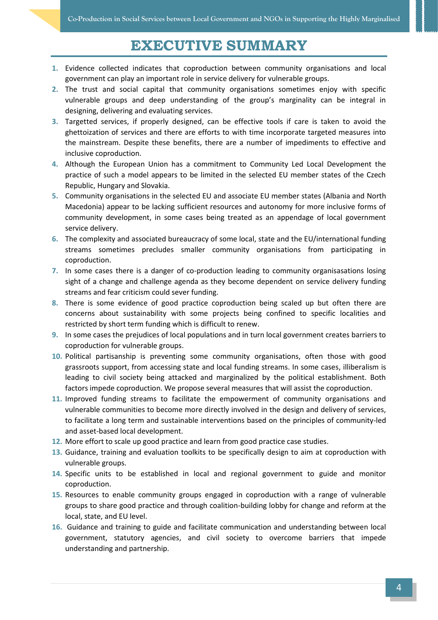### **EXECUTIVE SUMMARY**

- <span id="page-7-0"></span>**1.** Evidence collected indicates that coproduction between community organisations and local government can play an important role in service delivery for vulnerable groups.
- **2.** The trust and social capital that community organisations sometimes enjoy with specific vulnerable groups and deep understanding of the group's marginality can be integral in designing, delivering and evaluating services.
- **3.** Targetted services, if properly designed, can be effective tools if care is taken to avoid the ghettoization of services and there are efforts to with time incorporate targeted measures into the mainstream. Despite these benefits, there are a number of impediments to effective and inclusive coproduction.
- **4.** Although the European Union has a commitment to Community Led Local Development the practice of such a model appears to be limited in the selected EU member states of the Czech Republic, Hungary and Slovakia.
- **5.** Community organisations in the selected EU and associate EU member states (Albania and North Macedonia) appear to be lacking sufficient resources and autonomy for more inclusive forms of community development, in some cases being treated as an appendage of local government service delivery.
- **6.** The complexity and associated bureaucracy of some local, state and the EU/international funding streams sometimes precludes smaller community organisations from participating in coproduction.
- **7.** In some cases there is a danger of co-production leading to community organisasations losing sight of a change and challenge agenda as they become dependent on service delivery funding streams and fear criticism could sever funding.
- **8.** There is some evidence of good practice coproduction being scaled up but often there are concerns about sustainability with some projects being confined to specific localities and restricted by short term funding which is difficult to renew.
- **9.** In some cases the prejudices of local populations and in turn local government creates barriers to coproduction for vulnerable groups.
- **10.** Political partisanship is preventing some community organisations, often those with good grassroots support, from accessing state and local funding streams. In some cases, illiberalism is leading to civil society being attacked and marginalized by the political establishment. Both factors impede coproduction. We propose several measures that will assist the coproduction.
- **11.** Improved funding streams to facilitate the empowerment of community organisations and vulnerable communities to become more directly involved in the design and delivery of services, to facilitate a long term and sustainable interventions based on the principles of community-led and asset-based local development.
- **12.** More effort to scale up good practice and learn from good practice case studies.
- **13.** Guidance, training and evaluation toolkits to be specifically design to aim at coproduction with vulnerable groups.
- **14.** Specific units to be established in local and regional government to guide and monitor coproduction.
- **15.** Resources to enable community groups engaged in coproduction with a range of vulnerable groups to share good practice and through coalition-building lobby for change and reform at the local, state, and EU level.
- **16.** Guidance and training to guide and facilitate communication and understanding between local government, statutory agencies, and civil society to overcome barriers that impede understanding and partnership.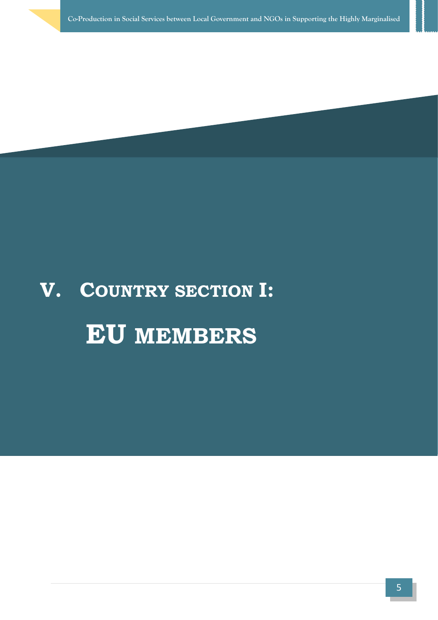# **V. COUNTRY SECTION I: EU MEMBERS**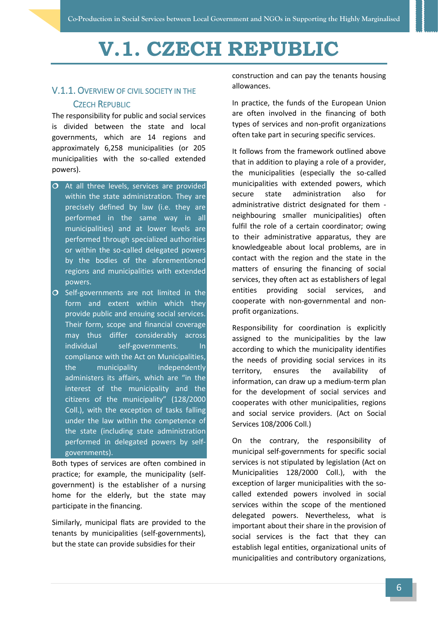# <span id="page-9-0"></span>**V.1. CZECH REPUBLIC**

#### <span id="page-9-1"></span>V.1.1. OVERVIEW OF CIVIL SOCIETY IN THE CZECH REPUBLIC

The responsibility for public and social services is divided between the state and local governments, which are 14 regions and approximately 6,258 municipalities (or 205 municipalities with the so-called extended powers).

- $\overline{O}$  At all three levels, services are provided within the state administration. They are precisely defined by law (i.e. they are performed in the same way in all municipalities) and at lower levels are performed through specialized authorities or within the so-called delegated powers by the bodies of the aforementioned regions and municipalities with extended powers.
- $O$  Self-governments are not limited in the form and extent within which they provide public and ensuing social services. Their form, scope and financial coverage may thus differ considerably across individual self-governments. In compliance with the Act on Municipalities, the municipality independently administers its affairs, which are "in the interest of the municipality and the citizens of the municipality" (128/2000 Coll.), with the exception of tasks falling under the law within the competence of the state (including state administration performed in delegated powers by selfgovernments).

Both types of services are often combined in practice; for example, the municipality (selfgovernment) is the establisher of a nursing home for the elderly, but the state may participate in the financing.

Similarly, municipal flats are provided to the tenants by municipalities (self-governments), but the state can provide subsidies for their

construction and can pay the tenants housing allowances.

In practice, the funds of the European Union are often involved in the financing of both types of services and non-profit organizations often take part in securing specific services.

It follows from the framework outlined above that in addition to playing a role of a provider, the municipalities (especially the so-called municipalities with extended powers, which secure state administration also for administrative district designated for them neighbouring smaller municipalities) often fulfil the role of a certain coordinator; owing to their administrative apparatus, they are knowledgeable about local problems, are in contact with the region and the state in the matters of ensuring the financing of social services, they often act as establishers of legal entities providing social services, and cooperate with non-governmental and nonprofit organizations.

Responsibility for coordination is explicitly assigned to the municipalities by the law according to which the municipality identifies the needs of providing social services in its territory, ensures the availability of information, can draw up a medium-term plan for the development of social services and cooperates with other municipalities, regions and social service providers. (Act on Social Services 108/2006 Coll.)

On the contrary, the responsibility of municipal self-governments for specific social services is not stipulated by legislation (Act on Municipalities 128/2000 Coll.), with the exception of larger municipalities with the socalled extended powers involved in social services within the scope of the mentioned delegated powers. Nevertheless, what is important about their share in the provision of social services is the fact that they can establish legal entities, organizational units of municipalities and contributory organizations,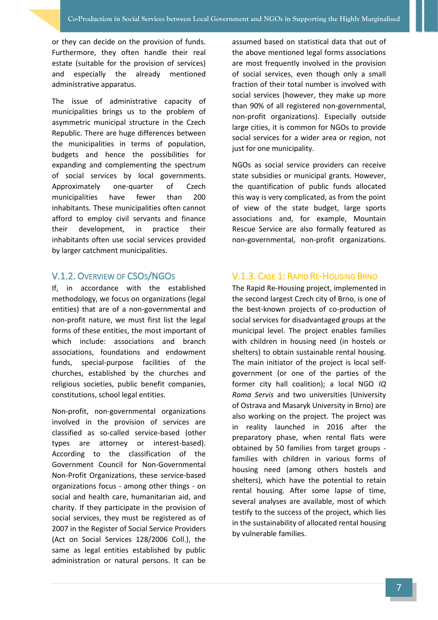or they can decide on the provision of funds. Furthermore, they often handle their real estate (suitable for the provision of services) and especially the already mentioned administrative apparatus.

The issue of administrative capacity of municipalities brings us to the problem of asymmetric municipal structure in the Czech Republic. There are huge differences between the municipalities in terms of population, budgets and hence the possibilities for expanding and complementing the spectrum of social services by local governments. Approximately one-quarter of Czech municipalities have fewer than 200 inhabitants. These municipalities often cannot afford to employ civil servants and finance their development, in practice their inhabitants often use social services provided by larger catchment municipalities.

#### <span id="page-10-0"></span>V.1.2. OVERVIEW OF CSOS/NGOS

If, in accordance with the established methodology, we focus on organizations (legal entities) that are of a non-governmental and non-profit nature, we must first list the legal forms of these entities, the most important of which include: associations and branch associations, foundations and endowment funds, special-purpose facilities of the churches, established by the churches and religious societies, public benefit companies, constitutions, school legal entities.

Non-profit, non-governmental organizations involved in the provision of services are classified as so-called service-based (other types are attorney or interest-based). According to the classification of the Government Council for Non-Governmental Non-Profit Organizations, these service-based organizations focus - among other things - on social and health care, humanitarian aid, and charity. If they participate in the provision of social services, they must be registered as of 2007 in the Register of Social Service Providers (Act on Social Services 128/2006 Coll.), the same as legal entities established by public administration or natural persons. It can be

assumed based on statistical data that out of the above mentioned legal forms associations are most frequently involved in the provision of social services, even though only a small fraction of their total number is involved with social services (however, they make up more than 90% of all registered non-governmental, non-profit organizations). Especially outside large cities, it is common for NGOs to provide social services for a wider area or region, not just for one municipality.

NGOs as social service providers can receive state subsidies or municipal grants. However, the quantification of public funds allocated this way is very complicated, as from the point of view of the state budget, large sports associations and, for example, Mountain Rescue Service are also formally featured as non-governmental, non-profit organizations.

#### <span id="page-10-1"></span>V.1.3. CASE 1: RAPID RE-HOUSING BRNO

The Rapid Re-Housing project, implemented in the second largest Czech city of Brno, is one of the best-known projects of co-production of social services for disadvantaged groups at the municipal level. The project enables families with children in housing need (in hostels or shelters) to obtain sustainable rental housing. The main initiator of the project is local selfgovernment (or one of the parties of the former city hall coalition); a local NGO *IQ Roma Servis* and two universities (University of Ostrava and Masaryk University in Brno) are also working on the project. The project was in reality launched in 2016 after the preparatory phase, when rental flats were obtained by 50 families from target groups families with children in various forms of housing need (among others hostels and shelters), which have the potential to retain rental housing. After some lapse of time, several analyses are available, most of which testify to the success of the project, which lies in the sustainability of allocated rental housing by vulnerable families.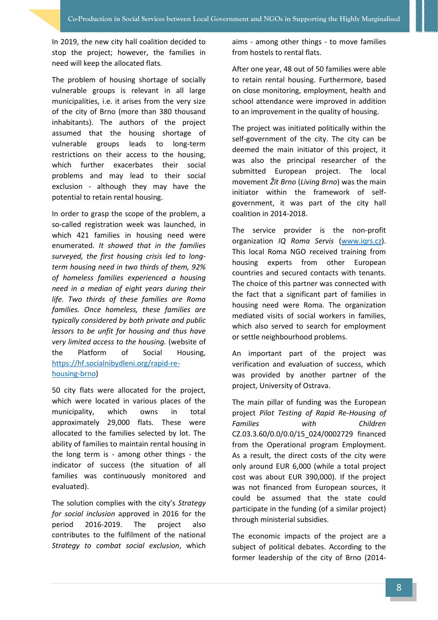In 2019, the new city hall coalition decided to stop the project; however, the families in need will keep the allocated flats.

The problem of housing shortage of socially vulnerable groups is relevant in all large municipalities, i.e. it arises from the very size of the city of Brno (more than 380 thousand inhabitants). The authors of the project assumed that the housing shortage of vulnerable groups leads to long-term restrictions on their access to the housing, which further exacerbates their social problems and may lead to their social exclusion - although they may have the potential to retain rental housing.

In order to grasp the scope of the problem, a so-called registration week was launched, in which 421 families in housing need were enumerated. *It showed that in the families surveyed, the first housing crisis led to longterm housing need in two thirds of them, 92% of homeless families experienced a housing need in a median of eight years during their life. Two thirds of these families are Roma families. Once homeless, these families are typically considered by both private and public lessors to be unfit for housing and thus have very limited access to the housing.* (website of the Platform of Social Housing, [https://hf.socialnibydleni.org/rapid-re](https://hf.socialnibydleni.org/rapid-re-housing-brno)[housing-brno\)](https://hf.socialnibydleni.org/rapid-re-housing-brno)

50 city flats were allocated for the project, which were located in various places of the municipality, which owns in total approximately 29,000 flats. These were allocated to the families selected by lot. The ability of families to maintain rental housing in the long term is - among other things - the indicator of success (the situation of all families was continuously monitored and evaluated).

The solution complies with the city's *Strategy for social inclusion* approved in 2016 for the period 2016-2019. The project also contributes to the fulfilment of the national *Strategy to combat social exclusion*, which

aims - among other things - to move families from hostels to rental flats.

After one year, 48 out of 50 families were able to retain rental housing. Furthermore, based on close monitoring, employment, health and school attendance were improved in addition to an improvement in the quality of housing.

The project was initiated politically within the self-government of the city. The city can be deemed the main initiator of this project, it was also the principal researcher of the submitted European project. The local movement *Žít Brno* (*Living Brno*) was the main initiator within the framework of selfgovernment, it was part of the city hall coalition in 2014-2018.

The service provider is the non-profit organization *IQ Roma Servis* [\(www.iqrs.cz\)](http://www.iqrs.cz/). This local Roma NGO received training from housing experts from other European countries and secured contacts with tenants. The choice of this partner was connected with the fact that a significant part of families in housing need were Roma. The organization mediated visits of social workers in families, which also served to search for employment or settle neighbourhood problems.

An important part of the project was verification and evaluation of success, which was provided by another partner of the project, University of Ostrava.

The main pillar of funding was the European project *Pilot Testing of Rapid Re-Housing of Families with Children* CZ.03.3.60/0.0/0.0/15\_024/0002729 financed from the Operational program Employment. As a result, the direct costs of the city were only around EUR 6,000 (while a total project cost was about EUR 390,000). If the project was not financed from European sources, it could be assumed that the state could participate in the funding (of a similar project) through ministerial subsidies.

The economic impacts of the project are a subject of political debates. According to the former leadership of the city of Brno (2014-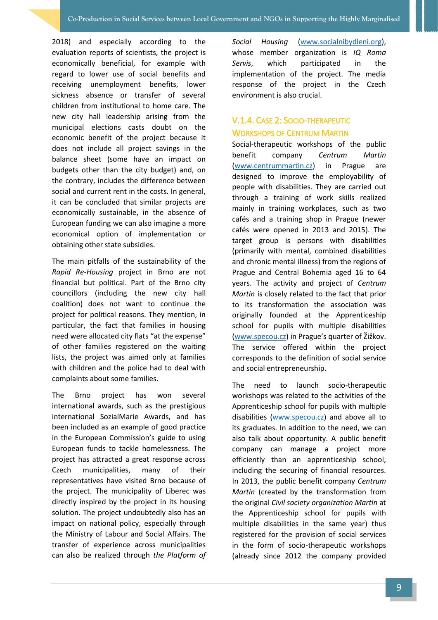2018) and especially according to the evaluation reports of scientists, the project is economically beneficial, for example with regard to lower use of social benefits and receiving unemployment benefits, lower sickness absence or transfer of several children from institutional to home care. The new city hall leadership arising from the municipal elections casts doubt on the economic benefit of the project because it does not include all project savings in the balance sheet (some have an impact on budgets other than the city budget) and, on the contrary, includes the difference between social and current rent in the costs. In general, it can be concluded that similar projects are economically sustainable, in the absence of European funding we can also imagine a more economical option of implementation or obtaining other state subsidies.

The main pitfalls of the sustainability of the *Rapid Re-Housing* project in Brno are not financial but political. Part of the Brno city councillors (including the new city hall coalition) does not want to continue the project for political reasons. They mention, in particular, the fact that families in housing need were allocated city flats "at the expense" of other families registered on the waiting lists, the project was aimed only at families with children and the police had to deal with complaints about some families.

The Brno project has won several international awards, such as the prestigious international SozialMarie Awards, and has been included as an example of good practice in the European Commission's guide to using European funds to tackle homelessness. The project has attracted a great response across Czech municipalities, many of their representatives have visited Brno because of the project. The municipality of Liberec was directly inspired by the project in its housing solution. The project undoubtedly also has an impact on national policy, especially through the Ministry of Labour and Social Affairs. The transfer of experience across municipalities can also be realized through *the Platform of*  *Social Housing* [\(www.socialnibydleni.org\)](http://www.socialnibydleni.org/), whose member organization is *IQ Roma Servis*, which participated in the implementation of the project. The media response of the project in the Czech environment is also crucial.

#### <span id="page-12-0"></span>V.1.4. CASE 2: SOCIO-THERAPEUTIC WORKSHOPS OF CENTRUM MARTIN

Social-therapeutic workshops of the public benefit company *Centrum Martin* [\(www.centrummartin.cz\)](http://www.centrummartin.cz/) in Prague are designed to improve the employability of people with disabilities. They are carried out through a training of work skills realized mainly in training workplaces, such as two cafés and a training shop in Prague (newer cafés were opened in 2013 and 2015). The target group is persons with disabilities (primarily with mental, combined disabilities and chronic mental illness) from the regions of Prague and Central Bohemia aged 16 to 64 years. The activity and project of *Centrum Martin* is closely related to the fact that prior to its transformation the association was originally founded at the Apprenticeship school for pupils with multiple disabilities [\(www.specou.cz](http://www.specou.cz/)) in Prague's quarter of Žižkov. The service offered within the project corresponds to the definition of social service and social entrepreneurship.

The need to launch socio-therapeutic workshops was related to the activities of the Apprenticeship school for pupils with multiple disabilities [\(www.specou.cz\)](http://www.specou.cz/) and above all to its graduates. In addition to the need, we can also talk about opportunity. A public benefit company can manage a project more efficiently than an apprenticeship school, including the securing of financial resources. In 2013, the public benefit company *Centrum Martin* (created by the transformation from the original *Civil society organization Martin* at the Apprenticeship school for pupils with multiple disabilities in the same year) thus registered for the provision of social services in the form of socio-therapeutic workshops (already since 2012 the company provided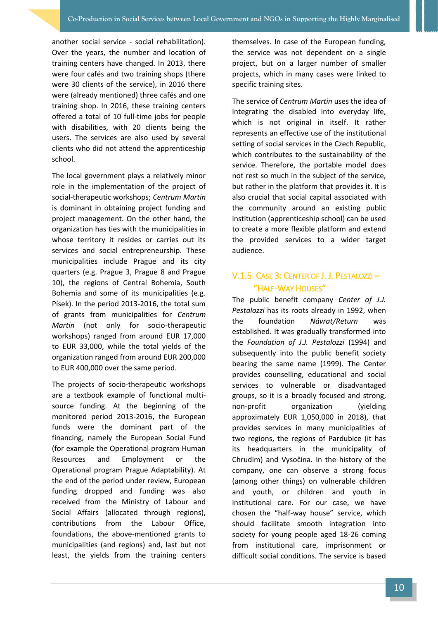another social service - social rehabilitation). Over the years, the number and location of training centers have changed. In 2013, there were four cafés and two training shops (there were 30 clients of the service), in 2016 there were (already mentioned) three cafés and one training shop. In 2016, these training centers offered a total of 10 full-time jobs for people with disabilities, with 20 clients being the users. The services are also used by several clients who did not attend the apprenticeship school.

The local government plays a relatively minor role in the implementation of the project of social-therapeutic workshops; *Centrum Martin* is dominant in obtaining project funding and project management. On the other hand, the organization has ties with the municipalities in whose territory it resides or carries out its services and social entrepreneurship. These municipalities include Prague and its city quarters (e.g. Prague 3, Prague 8 and Prague 10), the regions of Central Bohemia, South Bohemia and some of its municipalities (e.g. Písek). In the period 2013-2016, the total sum of grants from municipalities for *Centrum Martin* (not only for socio-therapeutic workshops) ranged from around EUR 17,000 to EUR 33,000, while the total yields of the organization ranged from around EUR 200,000 to EUR 400,000 over the same period.

The projects of socio-therapeutic workshops are a textbook example of functional multisource funding. At the beginning of the monitored period 2013-2016, the European funds were the dominant part of the financing, namely the European Social Fund (for example the Operational program Human Resources and Employment or the Operational program Prague Adaptability). At the end of the period under review, European funding dropped and funding was also received from the Ministry of Labour and Social Affairs (allocated through regions), contributions from the Labour Office, foundations, the above-mentioned grants to municipalities (and regions) and, last but not least, the yields from the training centers themselves. In case of the European funding, the service was not dependent on a single project, but on a larger number of smaller projects, which in many cases were linked to specific training sites.

The service of *Centrum Martin* uses the idea of integrating the disabled into everyday life, which is not original in itself. It rather represents an effective use of the institutional setting of social services in the Czech Republic, which contributes to the sustainability of the service. Therefore, the portable model does not rest so much in the subject of the service, but rather in the platform that provides it. It is also crucial that social capital associated with the community around an existing public institution (apprenticeship school) can be used to create a more flexible platform and extend the provided services to a wider target audience.

#### <span id="page-13-0"></span>V.1.5. CASE 3: CENTER OF J. J. PESTALOZZI – "HALF-WAY HOUSES"

The public benefit company *Center of J.J. Pestalozzi* has its roots already in 1992, when the foundation *Návrat/Return* was established. It was gradually transformed into the *Foundation of J.J. Pestalozzi* (1994) and subsequently into the public benefit society bearing the same name (1999). The Center provides counselling, educational and social services to vulnerable or disadvantaged groups, so it is a broadly focused and strong, non-profit organization (yielding approximately EUR 1,050,000 in 2018), that provides services in many municipalities of two regions, the regions of Pardubice (it has its headquarters in the municipality of Chrudim) and Vysočina. In the history of the company, one can observe a strong focus (among other things) on vulnerable children and youth, or children and youth in institutional care. For our case, we have chosen the "half-way house" service, which should facilitate smooth integration into society for young people aged 18-26 coming from institutional care, imprisonment or difficult social conditions. The service is based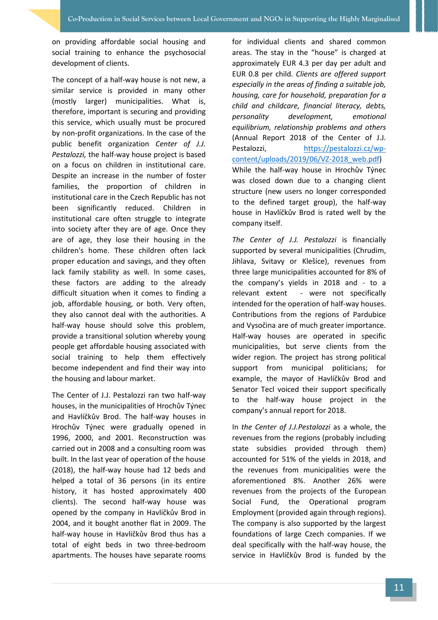on providing affordable social housing and social training to enhance the psychosocial development of clients.

The concept of a half-way house is not new, a similar service is provided in many other (mostly larger) municipalities. What is, therefore, important is securing and providing this service, which usually must be procured by non-profit organizations. In the case of the public benefit organization *Center of J.J. Pestalozzi,* the half-way house project is based on a focus on children in institutional care. Despite an increase in the number of foster families, the proportion of children in institutional care in the Czech Republic has not been significantly reduced. Children in institutional care often struggle to integrate into society after they are of age. Once they are of age, they lose their housing in the children's home. These children often lack proper education and savings, and they often lack family stability as well. In some cases, these factors are adding to the already difficult situation when it comes to finding a job, affordable housing, or both. Very often, they also cannot deal with the authorities. A half-way house should solve this problem, provide a transitional solution whereby young people get affordable housing associated with social training to help them effectively become independent and find their way into the housing and labour market.

The Center of J.J. Pestalozzi ran two half-way houses, in the municipalities of Hrochův Týnec and Havlíčkův Brod. The half-way houses in Hrochův Týnec were gradually opened in 1996, 2000, and 2001. Reconstruction was carried out in 2008 and a consulting room was built. In the last year of operation of the house (2018), the half-way house had 12 beds and helped a total of 36 persons (in its entire history, it has hosted approximately 400 clients). The second half-way house was opened by the company in Havlíčkův Brod in 2004, and it bought another flat in 2009. The half-way house in Havlíčkův Brod thus has a total of eight beds in two three-bedroom apartments. The houses have separate rooms for individual clients and shared common areas. The stay in the "house" is charged at approximately EUR 4.3 per day per adult and EUR 0.8 per child. *Clients are offered support especially in the areas of finding a suitable job, housing, care for household, preparation for a child and childcare, financial literacy, debts, personality development, emotional equilibrium, relationship problems and others* (Annual Report 2018 of the Center of J.J. Pestalozzi, [https://pestalozzi.cz/wp](https://pestalozzi.cz/wp-content/uploads/2019/06/VZ-2018_web.pdf)[content/uploads/2019/06/VZ-2018\\_web.pdf\)](https://pestalozzi.cz/wp-content/uploads/2019/06/VZ-2018_web.pdf) While the half-way house in Hrochův Týnec was closed down due to a changing client structure (new users no longer corresponded to the defined target group), the half-way house in Havlíčkův Brod is rated well by the company itself.

*The Center of J.J. Pestalozzi* is financially supported by several municipalities (Chrudim, Jihlava, Svitavy or Klešice), revenues from three large municipalities accounted for 8% of the company's yields in 2018 and - to a relevant extent - were not specifically intended for the operation of half-way houses. Contributions from the regions of Pardubice and Vysočina are of much greater importance. Half-way houses are operated in specific municipalities, but serve clients from the wider region. The project has strong political support from municipal politicians; for example, the mayor of Havlíčkův Brod and Senator Tecl voiced their support specifically to the half-way house project in the company's annual report for 2018.

In *the Center of J.J.Pestalozzi* as a whole, the revenues from the regions (probably including state subsidies provided through them) accounted for 51% of the yields in 2018, and the revenues from municipalities were the aforementioned 8%. Another 26% were revenues from the projects of the European Social Fund, the Operational program Employment (provided again through regions). The company is also supported by the largest foundations of large Czech companies. If we deal specifically with the half-way house, the service in Havlíčkův Brod is funded by the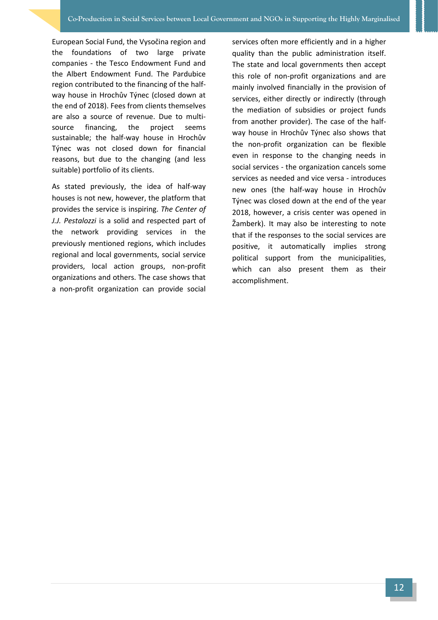European Social Fund, the Vysočina region and the foundations of two large private companies - the Tesco Endowment Fund and the Albert Endowment Fund. The Pardubice region contributed to the financing of the halfway house in Hrochův Týnec (closed down at the end of 2018). Fees from clients themselves are also a source of revenue. Due to multisource financing, the project seems sustainable; the half-way house in Hrochův Týnec was not closed down for financial reasons, but due to the changing (and less suitable) portfolio of its clients.

As stated previously, the idea of half-way houses is not new, however, the platform that provides the service is inspiring. *The Center of J.J. Pestalozzi* is a solid and respected part of the network providing services in the previously mentioned regions, which includes regional and local governments, social service providers, local action groups, non-profit organizations and others. The case shows that a non-profit organization can provide social

services often more efficiently and in a higher quality than the public administration itself. The state and local governments then accept this role of non-profit organizations and are mainly involved financially in the provision of services, either directly or indirectly (through the mediation of subsidies or project funds from another provider). The case of the halfway house in Hrochův Týnec also shows that the non-profit organization can be flexible even in response to the changing needs in social services - the organization cancels some services as needed and vice versa - introduces new ones (the half-way house in Hrochův Týnec was closed down at the end of the year 2018, however, a crisis center was opened in Žamberk). It may also be interesting to note that if the responses to the social services are positive, it automatically implies strong political support from the municipalities, which can also present them as their accomplishment.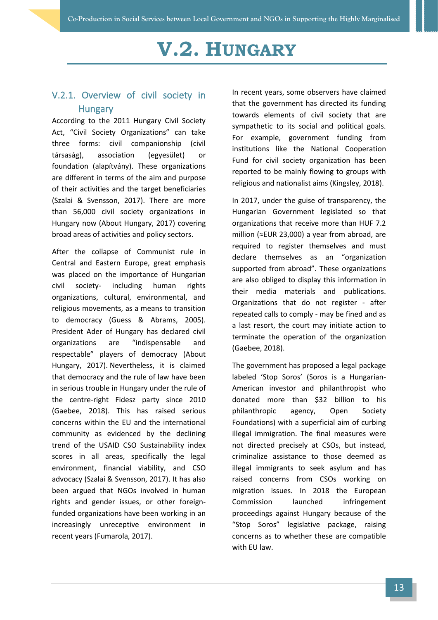# **V.2. HUNGARY**

#### <span id="page-16-1"></span><span id="page-16-0"></span>V.2.1. Overview of civil society in **Hungary**

According to the 2011 Hungary Civil Society Act, "Civil Society Organizations" can take three forms: civil companionship (civil társaság), association (egyesület) or foundation (alapítvány). These organizations are different in terms of the aim and purpose of their activities and the target beneficiaries (Szalai & Svensson, 2017). There are more than 56,000 civil society organizations in Hungary now (About Hungary, 2017) covering broad areas of activities and policy sectors.

After the collapse of Communist rule in Central and Eastern Europe, great emphasis was placed on the importance of Hungarian civil society- including human rights organizations, cultural, environmental, and religious movements, as a means to transition to democracy (Guess & Abrams, 2005). President Ader of Hungary has declared civil organizations are "indispensable and respectable" players of democracy (About Hungary, 2017). Nevertheless, it is claimed that democracy and the rule of law have been in serious trouble in Hungary under the rule of the centre-right Fidesz party since 2010 (Gaebee, 2018). This has raised serious concerns within the EU and the international community as evidenced by the declining trend of the USAID CSO Sustainability index scores in all areas, specifically the legal environment, financial viability, and CSO advocacy (Szalai & Svensson, 2017). It has also been argued that NGOs involved in human rights and gender issues, or other foreignfunded organizations have been working in an increasingly unreceptive environment in recent years (Fumarola, 2017).

In recent years, some observers have claimed that the government has directed its funding towards elements of civil society that are sympathetic to its social and political goals. For example, government funding from institutions like the National Cooperation Fund for civil society organization has been reported to be mainly flowing to groups with religious and nationalist aims (Kingsley, 2018).

In 2017, under the guise of transparency, the Hungarian Government legislated so that organizations that receive more than HUF 7.2 million (≈EUR 23,000) a year from abroad, are required to register themselves and must declare themselves as an "organization supported from abroad". These organizations are also obliged to display this information in their media materials and publications. Organizations that do not register - after repeated calls to comply - may be fined and as a last resort, the court may initiate action to terminate the operation of the organization (Gaebee, 2018).

The government has proposed a legal package labeled 'Stop Soros' (Soros is a Hungarian-American investor and philanthropist who donated more than \$32 billion to his philanthropic agency, Open Society Foundations) with a superficial aim of curbing illegal immigration. The final measures were not directed precisely at CSOs, but instead, criminalize assistance to those deemed as illegal immigrants to seek asylum and has raised concerns from CSOs working on migration issues. In 2018 the European Commission launched infringement proceedings against Hungary because of the "Stop Soros" legislative package, raising concerns as to whether these are compatible with EU law.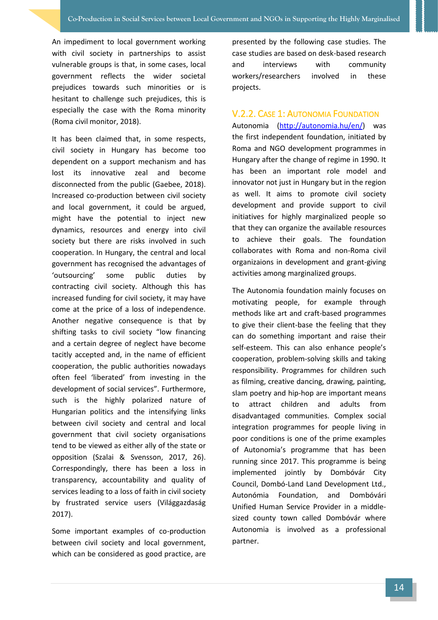An impediment to local government working with civil society in partnerships to assist vulnerable groups is that, in some cases, local government reflects the wider societal prejudices towards such minorities or is hesitant to challenge such prejudices, this is especially the case with the Roma minority (Roma civil monitor, 2018).

It has been claimed that, in some respects, civil society in Hungary has become too dependent on a support mechanism and has lost its innovative zeal and become disconnected from the public (Gaebee, 2018). Increased co-production between civil society and local government, it could be argued, might have the potential to inject new dynamics, resources and energy into civil society but there are risks involved in such cooperation. In Hungary, the central and local government has recognised the advantages of 'outsourcing' some public duties by contracting civil society. Although this has increased funding for civil society, it may have come at the price of a loss of independence. Another negative consequence is that by shifting tasks to civil society "low financing and a certain degree of neglect have become tacitly accepted and, in the name of efficient cooperation, the public authorities nowadays often feel 'liberated' from investing in the development of social services". Furthermore, such is the highly polarized nature of Hungarian politics and the intensifying links between civil society and central and local government that civil society organisations tend to be viewed as either ally of the state or opposition (Szalai & Svensson, 2017, 26). Correspondingly, there has been a loss in transparency, accountability and quality of services leading to a loss of faith in civil society by frustrated service users (Világgazdaság 2017).

Some important examples of co-production between civil society and local government, which can be considered as good practice, are

presented by the following case studies. The case studies are based on desk-based research and interviews with community workers/researchers involved in these projects.

#### <span id="page-17-0"></span>V.2.2. CASE 1: AUTONOMIA FOUNDATION

Autonomia [\(http://autonomia.hu/en/\)](http://autonomia.hu/en/) was the first independent foundation, initiated by Roma and NGO development programmes in Hungary after the change of regime in 1990. It has been an important role model and innovator not just in Hungary but in the region as well. It aims to promote civil society development and provide support to civil initiatives for highly marginalized people so that they can organize the available resources to achieve their goals. The foundation collaborates with Roma and non-Roma civil organizaions in development and grant-giving activities among marginalized groups.

The Autonomia foundation mainly focuses on motivating people, for example through methods like art and craft-based programmes to give their client-base the feeling that they can do something important and raise their self-esteem. This can also enhance people's cooperation, problem-solving skills and taking responsibility. Programmes for children such as filming, creative dancing, drawing, painting, slam poetry and hip-hop are important means to attract children and adults from disadvantaged communities. Complex social integration programmes for people living in poor conditions is one of the prime examples of Autonomia's programme that has been running since 2017. This programme is being implemented jointly by Dombóvár City Council, Dombó-Land Land Development Ltd., Autonómia Foundation, and Dombóvári Unified Human Service Provider in a middlesized county town called Dombóvár where Autonomia is involved as a professional partner.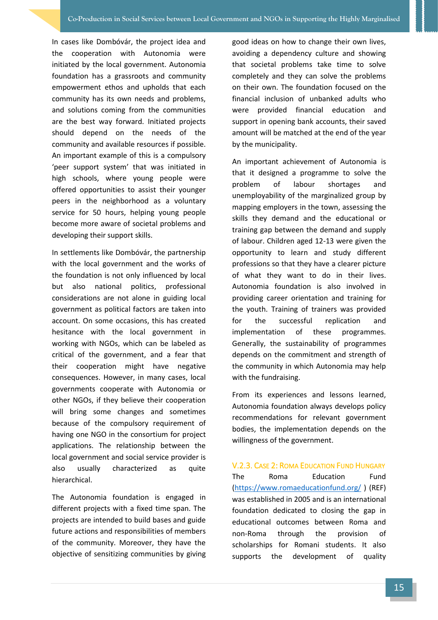In cases like Dombóvár, the project idea and the cooperation with Autonomia were initiated by the local government. Autonomia foundation has a grassroots and community empowerment ethos and upholds that each community has its own needs and problems, and solutions coming from the communities are the best way forward. Initiated projects should depend on the needs of the community and available resources if possible. An important example of this is a compulsory 'peer support system' that was initiated in high schools, where young people were offered opportunities to assist their younger peers in the neighborhood as a voluntary service for 50 hours, helping young people become more aware of societal problems and developing their support skills.

In settlements like Dombóvár, the partnership with the local government and the works of the foundation is not only influenced by local but also national politics, professional considerations are not alone in guiding local government as political factors are taken into account. On some occasions, this has created hesitance with the local government in working with NGOs, which can be labeled as critical of the government, and a fear that their cooperation might have negative consequences. However, in many cases, local governments cooperate with Autonomia or other NGOs, if they believe their cooperation will bring some changes and sometimes because of the compulsory requirement of having one NGO in the consortium for project applications. The relationship between the local government and social service provider is also usually characterized as quite hierarchical.

The Autonomia foundation is engaged in different projects with a fixed time span. The projects are intended to build bases and guide future actions and responsibilities of members of the community. Moreover, they have the objective of sensitizing communities by giving

good ideas on how to change their own lives, avoiding a dependency culture and showing that societal problems take time to solve completely and they can solve the problems on their own. The foundation focused on the financial inclusion of unbanked adults who were provided financial education and support in opening bank accounts, their saved amount will be matched at the end of the year by the municipality.

An important achievement of Autonomia is that it designed a programme to solve the problem of labour shortages and unemployability of the marginalized group by mapping employers in the town, assessing the skills they demand and the educational or training gap between the demand and supply of labour. Children aged 12-13 were given the opportunity to learn and study different professions so that they have a clearer picture of what they want to do in their lives. Autonomia foundation is also involved in providing career orientation and training for the youth. Training of trainers was provided for the successful replication and implementation of these programmes. Generally, the sustainability of programmes depends on the commitment and strength of the community in which Autonomia may help with the fundraising.

From its experiences and lessons learned, Autonomia foundation always develops policy recommendations for relevant government bodies, the implementation depends on the willingness of the government.

<span id="page-18-0"></span>V.2.3. CASE 2: ROMA EDUCATION FUND HUNGARY The Roma Education Fund [\(https://www.romaeducationfund.org/](https://www.romaeducationfund.org/) ) (REF) was established in 2005 and is an international foundation dedicated to closing the gap in educational outcomes between Roma and non-Roma through the provision of scholarships for Romani students. It also supports the development of quality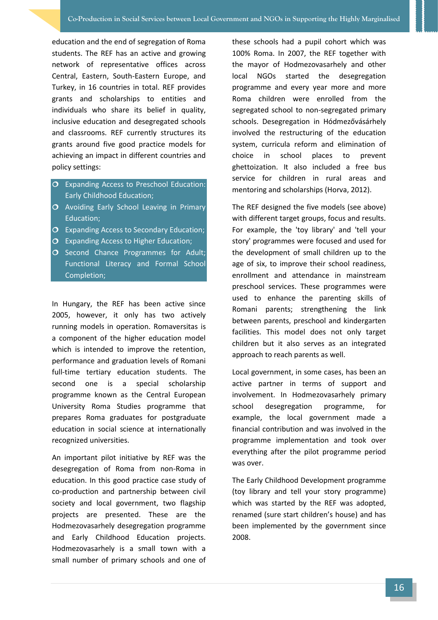education and the end of segregation of Roma students. The REF has an active and growing network of representative offices across Central, Eastern, South-Eastern Europe, and Turkey, in 16 countries in total. REF provides grants and scholarships to entities and individuals who share its belief in quality, inclusive education and desegregated schools and classrooms. REF currently structures its grants around five good practice models for achieving an impact in different countries and policy settings:

- O Expanding Access to Preschool Education: Early Childhood Education;
- O Avoiding Early School Leaving in Primary Education;
- O Expanding Access to Secondary Education;
- O Expanding Access to Higher Education;
- O Second Chance Programmes for Adult; Functional Literacy and Formal School Completion;

In Hungary, the REF has been active since 2005, however, it only has two actively running models in operation. Romaversitas is a component of the higher education model which is intended to improve the retention, performance and graduation levels of Romani full-time tertiary education students. The second one is a special scholarship programme known as the Central European University Roma Studies programme that prepares Roma graduates for postgraduate education in social science at internationally recognized universities.

An important pilot initiative by REF was the desegregation of Roma from non-Roma in education. In this good practice case study of co-production and partnership between civil society and local government, two flagship projects are presented. These are the Hodmezovasarhely desegregation programme and Early Childhood Education projects. Hodmezovasarhely is a small town with a small number of primary schools and one of these schools had a pupil cohort which was 100% Roma. In 2007, the REF together with the mayor of Hodmezovasarhely and other local NGOs started the desegregation programme and every year more and more Roma children were enrolled from the segregated school to non-segregated primary schools. Desegregation in Hódmezővásárhely involved the restructuring of the education system, curricula reform and elimination of choice in school places to prevent ghettoization. It also included a free bus service for children in rural areas and mentoring and scholarships (Horva, 2012).

The REF designed the five models (see above) with different target groups, focus and results. For example, the 'toy library' and 'tell your story' programmes were focused and used for the development of small children up to the age of six, to improve their school readiness, enrollment and attendance in mainstream preschool services. These programmes were used to enhance the parenting skills of Romani parents; strengthening the link between parents, preschool and kindergarten facilities. This model does not only target children but it also serves as an integrated approach to reach parents as well.

Local government, in some cases, has been an active partner in terms of support and involvement. In Hodmezovasarhely primary school desegregation programme, for example, the local government made a financial contribution and was involved in the programme implementation and took over everything after the pilot programme period was over.

The Early Childhood Development programme (toy library and tell your story programme) which was started by the REF was adopted, renamed (sure start children's house) and has been implemented by the government since 2008.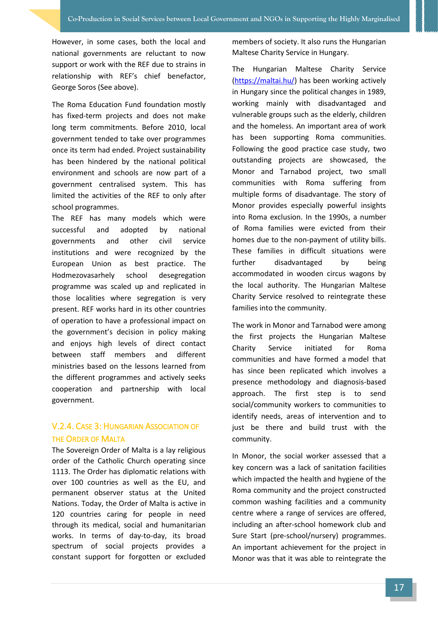However, in some cases, both the local and national governments are reluctant to now support or work with the REF due to strains in relationship with REF's chief benefactor, George Soros (See above).

The Roma Education Fund foundation mostly has fixed-term projects and does not make long term commitments. Before 2010, local government tended to take over programmes once its term had ended. Project sustainability has been hindered by the national political environment and schools are now part of a government centralised system. This has limited the activities of the REF to only after school programmes.

The REF has many models which were successful and adopted by national governments and other civil service institutions and were recognized by the European Union as best practice. The Hodmezovasarhely school desegregation programme was scaled up and replicated in those localities where segregation is very present. REF works hard in its other countries of operation to have a professional impact on the government's decision in policy making and enjoys high levels of direct contact between staff members and different ministries based on the lessons learned from the different programmes and actively seeks cooperation and partnership with local government.

#### <span id="page-20-0"></span>V.2.4. CASE 3: HUNGARIAN ASSOCIATION OF THE ORDER OF MALTA

The Sovereign Order of Malta is a lay religious order of the Catholic Church operating since 1113. The Order has diplomatic relations with over 100 countries as well as the EU, and permanent observer status at the United Nations. Today, the Order of Malta is active in 120 countries caring for people in need through its medical, social and humanitarian works. In terms of day-to-day, its broad spectrum of social projects provides a constant support for forgotten or excluded members of society. It also runs the Hungarian Maltese Charity Service in Hungary.

The Hungarian Maltese Charity Service [\(https://maltai.hu/\)](https://maltai.hu/) has been working actively in Hungary since the political changes in 1989, working mainly with disadvantaged and vulnerable groups such as the elderly, children and the homeless. An important area of work has been supporting Roma communities. Following the good practice case study, two outstanding projects are showcased, the Monor and Tarnabod project, two small communities with Roma suffering from multiple forms of disadvantage. The story of Monor provides especially powerful insights into Roma exclusion. In the 1990s, a number of Roma families were evicted from their homes due to the non-payment of utility bills. These families in difficult situations were further disadvantaged by being accommodated in wooden circus wagons by the local authority. The Hungarian Maltese Charity Service resolved to reintegrate these families into the community.

The work in Monor and Tarnabod were among the first projects the Hungarian Maltese Charity Service initiated for Roma communities and have formed a model that has since been replicated which involves a presence methodology and diagnosis-based approach. The first step is to send social/community workers to communities to identify needs, areas of intervention and to just be there and build trust with the community.

In Monor, the social worker assessed that a key concern was a lack of sanitation facilities which impacted the health and hygiene of the Roma community and the project constructed common washing facilities and a community centre where a range of services are offered, including an after-school homework club and Sure Start (pre-school/nursery) programmes. An important achievement for the project in Monor was that it was able to reintegrate the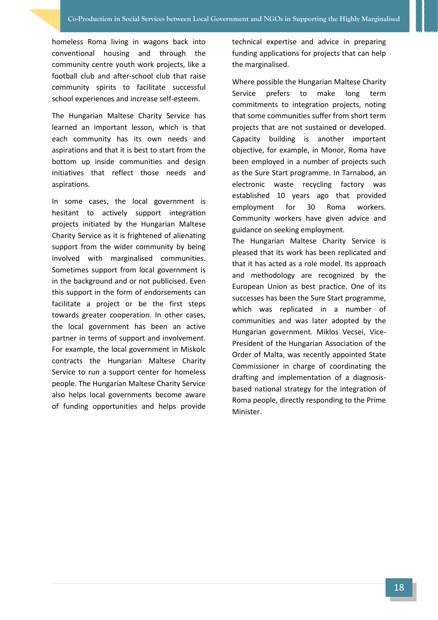homeless Roma living in wagons back into conventional housing and through the community centre youth work projects, like a football club and after-school club that raise community spirits to facilitate successful school experiences and increase self-esteem.

The Hungarian Maltese Charity Service has learned an important lesson, which is that each community has its own needs and aspirations and that it is best to start from the bottom up inside communities and design initiatives that reflect those needs and aspirations.

In some cases, the local government is hesitant to actively support integration projects initiated by the Hungarian Maltese Charity Service as it is frightened of alienating support from the wider community by being involved with marginalised communities. Sometimes support from local government is in the background and or not publicised. Even this support in the form of endorsements can facilitate a project or be the first steps towards greater cooperation. In other cases, the local government has been an active partner in terms of support and involvement. For example, the local government in Miskolc contracts the Hungarian Maltese Charity Service to run a support center for homeless people. The Hungarian Maltese Charity Service also helps local governments become aware of funding opportunities and helps provide technical expertise and advice in preparing funding applications for projects that can help the marginalised.

Where possible the Hungarian Maltese Charity Service prefers to make long term commitments to integration projects, noting that some communities suffer from short term projects that are not sustained or developed. Capacity building is another important objective, for example, in Monor, Roma have been employed in a number of projects such as the Sure Start programme. In Tarnabod, an electronic waste recycling factory was established 10 years ago that provided employment for 30 Roma workers. Community workers have given advice and guidance on seeking employment.

The Hungarian Maltese Charity Service is pleased that its work has been replicated and that it has acted as a role model. Its approach and methodology are recognized by the European Union as best practice. One of its successes has been the Sure Start programme, which was replicated in a number of communities and was later adopted by the Hungarian government. Miklos Vecsei, Vice-President of the Hungarian Association of the Order of Malta, was recently appointed State Commissioner in charge of coordinating the drafting and implementation of a diagnosisbased national strategy for the integration of Roma people, directly responding to the Prime Minister.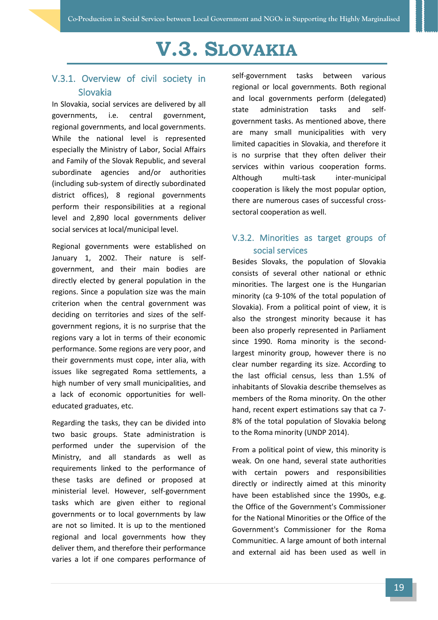# **V.3. SLOVAKIA**

#### <span id="page-22-1"></span><span id="page-22-0"></span>V.3.1. Overview of civil society in Slovakia

In Slovakia, social services are delivered by all governments, i.e. central government, regional governments, and local governments. While the national level is represented especially the Ministry of Labor, Social Affairs and Family of the Slovak Republic, and several subordinate agencies and/or authorities (including sub-system of directly subordinated district offices), 8 regional governments perform their responsibilities at a regional level and 2,890 local governments deliver social services at local/municipal level.

Regional governments were established on January 1, 2002. Their nature is selfgovernment, and their main bodies are directly elected by general population in the regions. Since a population size was the main criterion when the central government was deciding on territories and sizes of the selfgovernment regions, it is no surprise that the regions vary a lot in terms of their economic performance. Some regions are very poor, and their governments must cope, inter alia, with issues like segregated Roma settlements, a high number of very small municipalities, and a lack of economic opportunities for welleducated graduates, etc.

Regarding the tasks, they can be divided into two basic groups. State administration is performed under the supervision of the Ministry, and all standards as well as requirements linked to the performance of these tasks are defined or proposed at ministerial level. However, self-government tasks which are given either to regional governments or to local governments by law are not so limited. It is up to the mentioned regional and local governments how they deliver them, and therefore their performance varies a lot if one compares performance of self-government tasks between various regional or local governments. Both regional and local governments perform (delegated) state administration tasks and selfgovernment tasks. As mentioned above, there are many small municipalities with very limited capacities in Slovakia, and therefore it is no surprise that they often deliver their services within various cooperation forms. Although multi-task inter-municipal cooperation is likely the most popular option, there are numerous cases of successful crosssectoral cooperation as well.

#### <span id="page-22-2"></span>V.3.2. Minorities as target groups of social services

Besides Slovaks, the population of Slovakia consists of several other national or ethnic minorities. The largest one is the Hungarian minority (ca 9-10% of the total population of Slovakia). From a political point of view, it is also the strongest minority because it has been also properly represented in Parliament since 1990. Roma minority is the secondlargest minority group, however there is no clear number regarding its size. According to the last official census, less than 1.5% of inhabitants of Slovakia describe themselves as members of the Roma minority. On the other hand, recent expert estimations say that ca 7- 8% of the total population of Slovakia belong to the Roma minority (UNDP 2014).

From a political point of view, this minority is weak. On one hand, several state authorities with certain powers and responsibilities directly or indirectly aimed at this minority have been established since the 1990s, e.g. the Office of the Government's Commissioner for the National Minorities or the Office of the Government's Commissioner for the Roma Communitieс. A large amount of both internal and external aid has been used as well in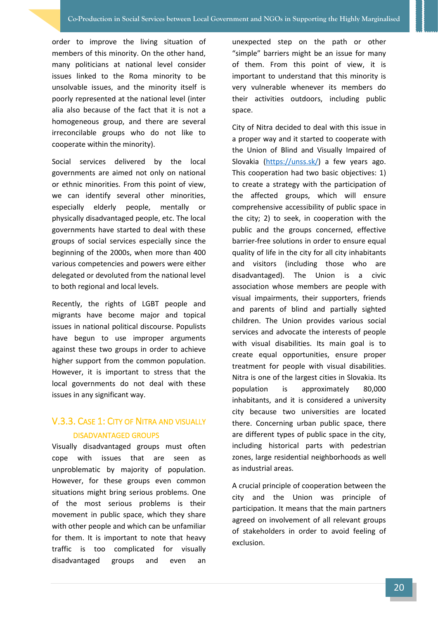order to improve the living situation of members of this minority. On the other hand, many politicians at national level consider issues linked to the Roma minority to be unsolvable issues, and the minority itself is poorly represented at the national level (inter alia also because of the fact that it is not a homogeneous group, and there are several irreconcilable groups who do not like to cooperate within the minority).

Social services delivered by the local governments are aimed not only on national or ethnic minorities. From this point of view, we can identify several other minorities, especially elderly people, mentally or physically disadvantaged people, etc. The local governments have started to deal with these groups of social services especially since the beginning of the 2000s, when more than 400 various competencies and powers were either delegated or devoluted from the national level to both regional and local levels.

Recently, the rights of LGBT people and migrants have become major and topical issues in national political discourse. Populists have begun to use improper arguments against these two groups in order to achieve higher support from the common population. However, it is important to stress that the local governments do not deal with these issues in any significant way.

#### <span id="page-23-0"></span>V.3.3. CASE 1: CITY OF NITRA AND VISUALLY DISADVANTAGED GROUPS

Visually disadvantaged groups must often cope with issues that are seen as unproblematic by majority of population. However, for these groups even common situations might bring serious problems. One of the most serious problems is their movement in public space, which they share with other people and which can be unfamiliar for them. It is important to note that heavy traffic is too complicated for visually disadvantaged groups and even an

unexpected step on the path or other "simple" barriers might be an issue for many of them. From this point of view, it is important to understand that this minority is very vulnerable whenever its members do their activities outdoors, including public space.

City of Nitra decided to deal with this issue in a proper way and it started to cooperate with the Union of Blind and Visually Impaired of Slovakia [\(https://unss.sk/\)](https://unss.sk/) a few years ago. This cooperation had two basic objectives: 1) to create a strategy with the participation of the affected groups, which will ensure comprehensive accessibility of public space in the city; 2) to seek, in cooperation with the public and the groups concerned, effective barrier-free solutions in order to ensure equal quality of life in the city for all city inhabitants and visitors (including those who are disadvantaged). The Union is a civic association whose members are people with visual impairments, their supporters, friends and parents of blind and partially sighted children. The Union provides various social services and advocate the interests of people with visual disabilities. Its main goal is to create equal opportunities, ensure proper treatment for people with visual disabilities. Nitra is one of the largest cities in Slovakia. Its population is approximately 80,000 inhabitants, and it is considered a university city because two universities are located there. Concerning urban public space, there are different types of public space in the city, including historical parts with pedestrian zones, large residential neighborhoods as well as industrial areas.

A crucial principle of cooperation between the city and the Union was principle of participation. It means that the main partners agreed on involvement of all relevant groups of stakeholders in order to avoid feeling of exclusion.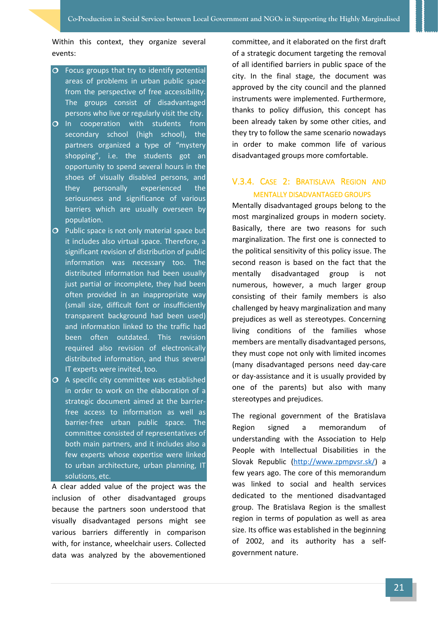Within this context, they organize several events:

- $\overline{O}$  Focus groups that try to identify potential areas of problems in urban public space from the perspective of free accessibility. The groups consist of disadvantaged persons who live or regularly visit the city.
- O In cooperation with students from secondary school (high school), the partners organized a type of "mystery shopping", i.e. the students got an opportunity to spend several hours in the shoes of visually disabled persons, and they personally experienced the seriousness and significance of various barriers which are usually overseen by population.
- $\overline{O}$  Public space is not only material space but it includes also virtual space. Therefore, a significant revision of distribution of public information was necessary too. The distributed information had been usually just partial or incomplete, they had been often provided in an inappropriate way (small size, difficult font or insufficiently transparent background had been used) and information linked to the traffic had been often outdated. This revision required also revision of electronically distributed information, and thus several IT experts were invited, too.
- A specific city committee was established in order to work on the elaboration of a strategic document aimed at the barrierfree access to information as well as barrier-free urban public space. The committee consisted of representatives of both main partners, and it includes also a few experts whose expertise were linked to urban architecture, urban planning, IT solutions, etc.

A clear added value of the project was the inclusion of other disadvantaged groups because the partners soon understood that visually disadvantaged persons might see various barriers differently in comparison with, for instance, wheelchair users. Collected data was analyzed by the abovementioned committee, and it elaborated on the first draft of a strategic document targeting the removal of all identified barriers in public space of the city. In the final stage, the document was approved by the city council and the planned instruments were implemented. Furthermore, thanks to policy diffusion, this concept has been already taken by some other cities, and they try to follow the same scenario nowadays in order to make common life of various disadvantaged groups more comfortable.

#### <span id="page-24-0"></span>V.3.4. CASE 2: BRATISLAVA REGION AND MENTALLY DISADVANTAGED GROUPS

Mentally disadvantaged groups belong to the most marginalized groups in modern society. Basically, there are two reasons for such marginalization. The first one is connected to the political sensitivity of this policy issue. The second reason is based on the fact that the mentally disadvantaged group is not numerous, however, a much larger group consisting of their family members is also challenged by heavy marginalization and many prejudices as well as stereotypes. Concerning living conditions of the families whose members are mentally disadvantaged persons, they must cope not only with limited incomes (many disadvantaged persons need day-care or day-assistance and it is usually provided by one of the parents) but also with many stereotypes and prejudices.

The regional government of the Bratislava Region signed a memorandum of understanding with the Association to Help People with Intellectual Disabilities in the Slovak Republic [\(http://www.zpmpvsr.sk/\)](http://www.zpmpvsr.sk/) a few years ago. The core of this memorandum was linked to social and health services dedicated to the mentioned disadvantaged group. The Bratislava Region is the smallest region in terms of population as well as area size. Its office was established in the beginning of 2002, and its authority has a selfgovernment nature.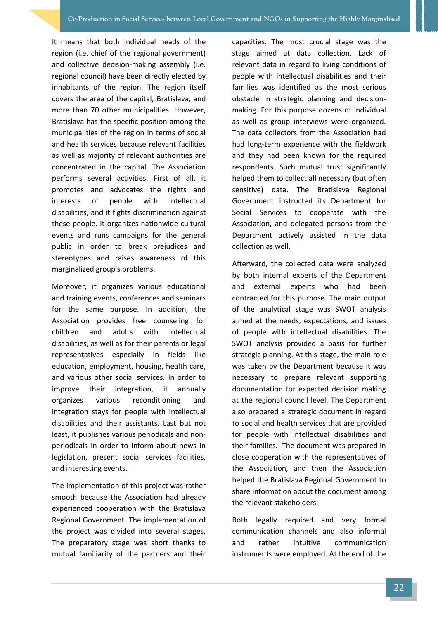It means that both individual heads of the region (i.e. chief of the regional government) and collective decision-making assembly (i.e. regional council) have been directly elected by inhabitants of the region. The region itself covers the area of the capital, Bratislava, and more than 70 other municipalities. However, Bratislava has the specific position among the municipalities of the region in terms of social and health services because relevant facilities as well as majority of relevant authorities are concentrated in the capital. The Association performs several activities. First of all, it promotes and advocates the rights and interests of people with intellectual disabilities, and it fights discrimination against these people. It organizes nationwide cultural events and runs campaigns for the general public in order to break prejudices and stereotypes and raises awareness of this marginalized group's problems.

Moreover, it organizes various educational and training events, conferences and seminars for the same purpose. In addition, the Association provides free counseling for children and adults with intellectual disabilities, as well as for their parents or legal representatives especially in fields like education, employment, housing, health care, and various other social services. In order to improve their integration, it annually organizes various reconditioning and integration stays for people with intellectual disabilities and their assistants. Last but not least, it publishes various periodicals and nonperiodicals in order to inform about news in legislation, present social services facilities, and interesting events.

The implementation of this project was rather smooth because the Association had already experienced cooperation with the Bratislava Regional Government. The implementation of the project was divided into several stages. The preparatory stage was short thanks to mutual familiarity of the partners and their capacities. The most crucial stage was the stage aimed at data collection. Lack of relevant data in regard to living conditions of people with intellectual disabilities and their families was identified as the most serious obstacle in strategic planning and decisionmaking. For this purpose dozens of individual as well as group interviews were organized. The data collectors from the Association had had long-term experience with the fieldwork and they had been known for the required respondents. Such mutual trust significantly helped them to collect all necessary (but often sensitive) data. The Bratislava Regional Government instructed its Department for Social Services to cooperate with the Association, and delegated persons from the Department actively assisted in the data collection as well.

Afterward, the collected data were analyzed by both internal experts of the Department and external experts who had been contracted for this purpose. The main output of the analytical stage was SWOT analysis aimed at the needs, expectations, and issues of people with intellectual disabilities. The SWOT analysis provided a basis for further strategic planning. At this stage, the main role was taken by the Department because it was necessary to prepare relevant supporting documentation for expected decision making at the regional council level. The Department also prepared a strategic document in regard to social and health services that are provided for people with intellectual disabilities and their families. The document was prepared in close cooperation with the representatives of the Association, and then the Association helped the Bratislava Regional Government to share information about the document among the relevant stakeholders.

Both legally required and very formal communication channels and also informal and rather intuitive communication instruments were employed. At the end of the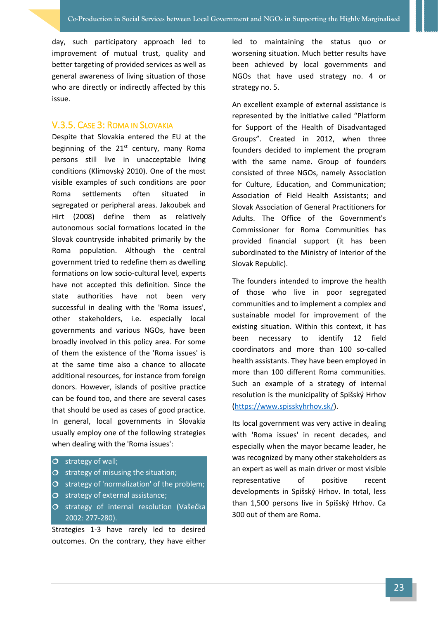day, such participatory approach led to improvement of mutual trust, quality and better targeting of provided services as well as general awareness of living situation of those who are directly or indirectly affected by this issue.

#### <span id="page-26-0"></span>V.3.5. CASE 3: ROMA IN SLOVAKIA

Despite that Slovakia entered the EU at the beginning of the  $21<sup>st</sup>$  century, many Roma persons still live in unacceptable living conditions (Klimovský 2010). One of the most visible examples of such conditions are poor Roma settlements often situated in segregated or peripheral areas. Jakoubek and Hirt (2008) define them as relatively autonomous social formations located in the Slovak countryside inhabited primarily by the Roma population. Although the central government tried to redefine them as dwelling formations on low socio-cultural level, experts have not accepted this definition. Since the state authorities have not been very successful in dealing with the 'Roma issues', other stakeholders, i.e. especially local governments and various NGOs, have been broadly involved in this policy area. For some of them the existence of the 'Roma issues' is at the same time also a chance to allocate additional resources, for instance from foreign donors. However, islands of positive practice can be found too, and there are several cases that should be used as cases of good practice. In general, local governments in Slovakia usually employ one of the following strategies when dealing with the 'Roma issues':

#### $\overline{O}$  strategy of wall;

- $\overline{O}$  strategy of misusing the situation;
- $\overline{O}$  strategy of 'normalization' of the problem;
- $\sigma$  strategy of external assistance;
- O strategy of internal resolution (Vašečka 2002: 277-280).

Strategies 1-3 have rarely led to desired outcomes. On the contrary, they have either led to maintaining the status quo or worsening situation. Much better results have been achieved by local governments and NGOs that have used strategy no. 4 or strategy no. 5.

An excellent example of external assistance is represented by the initiative called "Platform for Support of the Health of Disadvantaged Groups". Created in 2012, when three founders decided to implement the program with the same name. Group of founders consisted of three NGOs, namely Association for Culture, Education, and Communication; Association of Field Health Assistants; and Slovak Association of General Practitioners for Adults. The Office of the Government's Commissioner for Roma Communities has provided financial support (it has been subordinated to the Ministry of Interior of the Slovak Republic).

The founders intended to improve the health of those who live in poor segregated communities and to implement a complex and sustainable model for improvement of the existing situation. Within this context, it has been necessary to identify 12 field coordinators and more than 100 so-called health assistants. They have been employed in more than 100 different Roma communities. Such an example of a strategy of internal resolution is the municipality of Spišský Hrhov [\(https://www.spisskyhrhov.sk/\)](https://www.spisskyhrhov.sk/).

Its local government was very active in dealing with 'Roma issues' in recent decades, and especially when the mayor became leader, he was recognized by many other stakeholders as an expert as well as main driver or most visible representative of positive recent developments in Spišský Hrhov. In total, less than 1,500 persons live in Spišský Hrhov. Ca 300 out of them are Roma.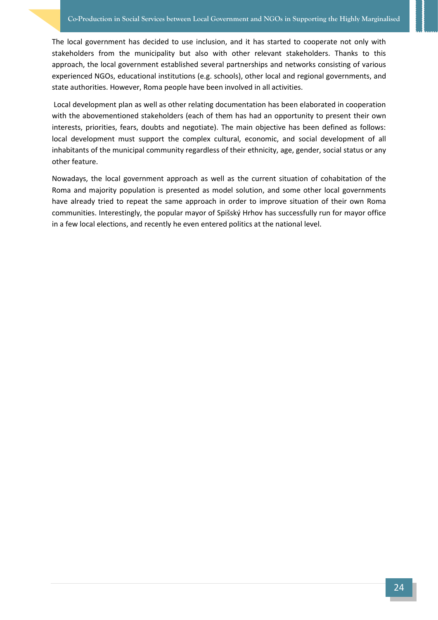The local government has decided to use inclusion, and it has started to cooperate not only with stakeholders from the municipality but also with other relevant stakeholders. Thanks to this approach, the local government established several partnerships and networks consisting of various experienced NGOs, educational institutions (e.g. schools), other local and regional governments, and state authorities. However, Roma people have been involved in all activities.

Local development plan as well as other relating documentation has been elaborated in cooperation with the abovementioned stakeholders (each of them has had an opportunity to present their own interests, priorities, fears, doubts and negotiate). The main objective has been defined as follows: local development must support the complex cultural, economic, and social development of all inhabitants of the municipal community regardless of their ethnicity, age, gender, social status or any other feature.

Nowadays, the local government approach as well as the current situation of cohabitation of the Roma and majority population is presented as model solution, and some other local governments have already tried to repeat the same approach in order to improve situation of their own Roma communities. Interestingly, the popular mayor of Spišský Hrhov has successfully run for mayor office in a few local elections, and recently he even entered politics at the national level.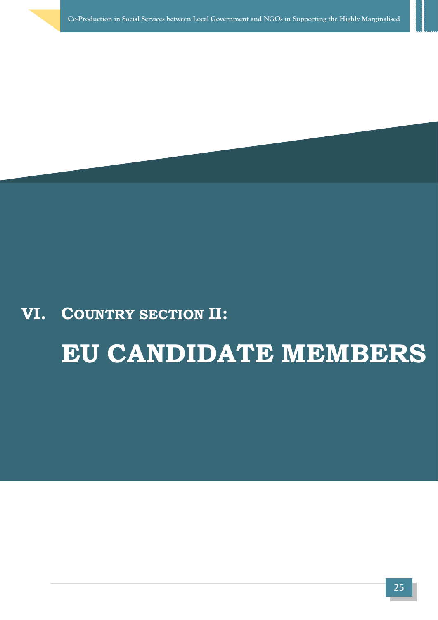## **VI. COUNTRY SECTION II:**

# **EU CANDIDATE MEMBERS**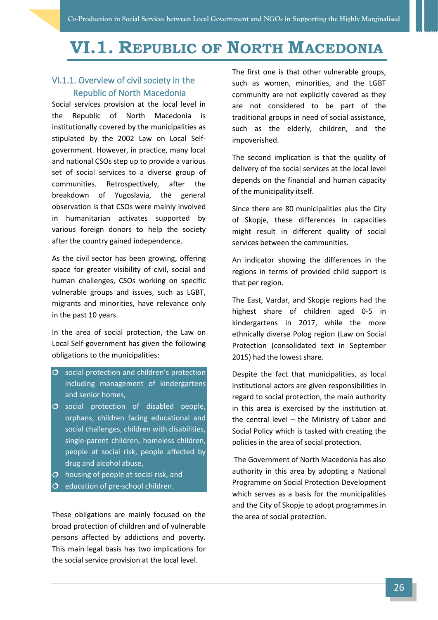# <span id="page-29-0"></span>**VI.1. REPUBLIC OF NORTH MACEDONIA**

#### <span id="page-29-1"></span>VI.1.1. Overview of civil society in the Republic of North Macedonia

Social services provision at the local level in the Republic of North Macedonia is institutionally covered by the municipalities as stipulated by the 2002 Law on Local Selfgovernment. However, in practice, many local and national CSOs step up to provide a various set of social services to a diverse group of communities. Retrospectively, after the breakdown of Yugoslavia, the general observation is that CSOs were mainly involved in humanitarian activates supported by various foreign donors to help the society after the country gained independence.

As the civil sector has been growing, offering space for greater visibility of civil, social and human challenges, CSOs working on specific vulnerable groups and issues, such as LGBT, migrants and minorities, have relevance only in the past 10 years.

In the area of social protection, the Law on Local Self-government has given the following obligations to the municipalities:

- $\overline{O}$  social protection and children's protection including management of kindergartens and senior homes,
- O social protection of disabled people, orphans, children facing educational and social challenges, children with disabilities, single-parent children, homeless children, people at social risk, people affected by drug and alcohol abuse,
- $\Omega$  housing of people at social risk, and
- $O$  education of pre-school children.

These obligations are mainly focused on the broad protection of children and of vulnerable persons affected by addictions and poverty. This main legal basis has two implications for the social service provision at the local level.

The first one is that other vulnerable groups, such as women, minorities, and the LGBT community are not explicitly covered as they are not considered to be part of the traditional groups in need of social assistance, such as the elderly, children, and the impoverished.

The second implication is that the quality of delivery of the social services at the local level depends on the financial and human capacity of the municipality itself.

Since there are 80 municipalities plus the City of Skopje, these differences in capacities might result in different quality of social services between the communities.

An indicator showing the differences in the regions in terms of provided child support is that per region.

The East, Vardar, and Skopje regions had the highest share of children aged 0-5 in kindergartens in 2017, while the more ethnically diverse Polog region (Law on Social Protection (consolidated text in September 2015) had the lowest share.

Despite the fact that municipalities, as local institutional actors are given responsibilities in regard to social protection, the main authority in this area is exercised by the institution at the central level – the Ministry of Labor and Social Policy which is tasked with creating the policies in the area of social protection.

The Government of North Macedonia has also authority in this area by adopting a National Programme on Social Protection Development which serves as a basis for the municipalities and the City of Skopje to adopt programmes in the area of social protection.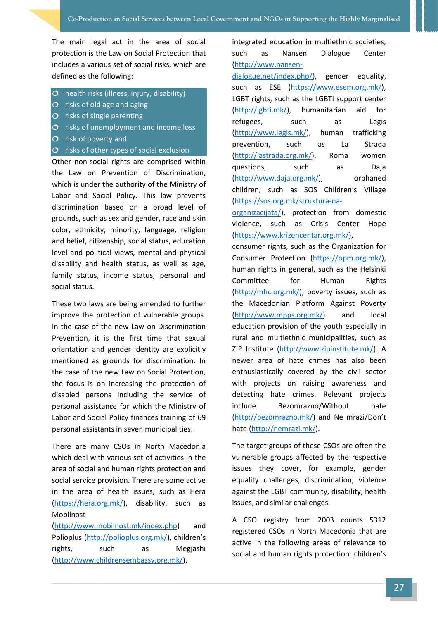The main legal act in the area of social protection is the Law on Social Protection that includes a various set of social risks, which are defined as the following:

- $\overline{O}$  health risks (illness, injury, disability)
- $\overline{O}$  risks of old age and aging
- $\overline{O}$  risks of single parenting
- $\overline{O}$  risks of unemployment and income loss
- $\overline{O}$  risk of poverty and
- $\overline{O}$  risks of other types of social exclusion

Other non-social rights are comprised within the Law on Prevention of Discrimination, which is under the authority of the Ministry of Labor and Social Policy. This law prevents discrimination based on a broad level of grounds, such as sex and gender, race and skin color, ethnicity, minority, language, religion and belief, citizenship, social status, education level and political views, mental and physical disability and health status, as well as age, family status, income status, personal and social status.

These two laws are being amended to further improve the protection of vulnerable groups. In the case of the new Law on Discrimination Prevention, it is the first time that sexual orientation and gender identity are explicitly mentioned as grounds for discrimination. In the case of the new Law on Social Protection, the focus is on increasing the protection of disabled persons including the service of personal assistance for which the Ministry of Labor and Social Policy finances training of 69 personal assistants in seven municipalities.

There are many CSOs in North Macedonia which deal with various set of activities in the area of social and human rights protection and social service provision. There are some active in the area of health issues, such as Hera [\(https://hera.org.mk/\)](https://hera.org.mk/), disability, such as Mobilnost

[\(http://www.mobilnost.mk/index.php\)](http://www.mobilnost.mk/index.php) and Polioplus [\(http://polioplus.org.mk/\)](http://polioplus.org.mk/), children's rights, such as Megjashi [\(http://www.childrensembassy.org.mk/\)](http://www.childrensembassy.org.mk/),

integrated education in multiethnic societies, such as Nansen Dialogue Center [\(http://www.nansen-](http://www.nansen-dialogue.net/index.php/)

[dialogue.net/index.php/\)](http://www.nansen-dialogue.net/index.php/), gender equality, such as ESE [\(https://www.esem.org.mk/\)](https://www.esem.org.mk/), LGBT rights, such as the LGBTI support center [\(http://lgbti.mk/\)](http://lgbti.mk/), humanitarian aid for refugees, such as Legis [\(http://www.legis.mk/\)](http://www.legis.mk/), human trafficking prevention, such as La Strada [\(http://lastrada.org.mk/\)](http://lastrada.org.mk/), Roma women questions, such as Daja [\(http://www.daja.org.mk/\)](http://www.daja.org.mk/), orphaned children, such as SOS Children's Village [\(https://sos.org.mk/struktura-na-](https://sos.org.mk/struktura-na-organizacijata/)

[organizacijata/\)](https://sos.org.mk/struktura-na-organizacijata/), protection from domestic violence, such as Crisis Center Hope [\(https://www.krizencentar.org.mk/\)](https://www.krizencentar.org.mk/),

consumer rights, such as the Organization for Consumer Protection [\(https://opm.org.mk/\)](https://opm.org.mk/), human rights in general, such as the Helsinki Committee for Human Rights [\(http://mhc.org.mk/\)](http://mhc.org.mk/), poverty issues, such as the Macedonian Platform Against Poverty [\(http://www.mpps.org.mk/\)](http://www.mpps.org.mk/) and local education provision of the youth especially in rural and multiethnic municipalities, such as ZIP Institute [\(http://www.zipinstitute.mk/\)](http://www.zipinstitute.mk/). A newer area of hate crimes has also been enthusiastically covered by the civil sector with projects on raising awareness and detecting hate crimes. Relevant projects include Bezomrazno/Without hate [\(http://bezomrazno.mk/\)](http://bezomrazno.mk/) and Ne mrazi/Don't hate [\(http://nemrazi.mk/\)](http://nemrazi.mk/).

The target groups of these CSOs are often the vulnerable groups affected by the respective issues they cover, for example, gender equality challenges, discrimination, violence against the LGBT community, disability, health issues, and similar challenges.

A CSO registry from 2003 counts 5312 registered CSOs in North Macedonia that are active in the following areas of relevance to social and human rights protection: children's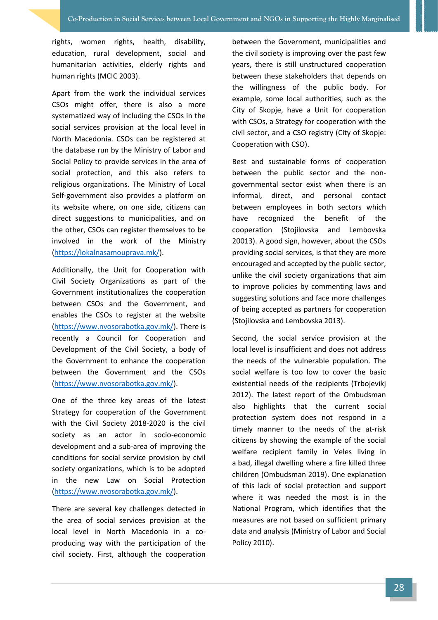rights, women rights, health, disability, education, rural development, social and humanitarian activities, elderly rights and human rights (MCIC 2003).

Apart from the work the individual services CSOs might offer, there is also a more systematized way of including the CSOs in the social services provision at the local level in North Macedonia. CSOs can be registered at the database run by the Ministry of Labor and Social Policy to provide services in the area of social protection, and this also refers to religious organizations. The Ministry of Local Self-government also provides a platform on its website where, on one side, citizens can direct suggestions to municipalities, and on the other, CSOs can register themselves to be involved in the work of the Ministry [\(https://lokalnasamouprava.mk/\)](https://lokalnasamouprava.mk/).

Additionally, the Unit for Cooperation with Civil Society Organizations as part of the Government institutionalizes the cooperation between CSOs and the Government, and enables the CSOs to register at the website [\(https://www.nvosorabotka.gov.mk/\)](https://www.nvosorabotka.gov.mk/). There is recently a Council for Cooperation and Development of the Civil Society, a body of the Government to enhance the cooperation between the Government and the CSOs [\(https://www.nvosorabotka.gov.mk/\)](https://www.nvosorabotka.gov.mk/).

One of the three key areas of the latest Strategy for cooperation of the Government with the Civil Society 2018-2020 is the civil society as an actor in socio-economic development and a sub-area of improving the conditions for social service provision by civil society organizations, which is to be adopted in the new Law on Social Protection [\(https://www.nvosorabotka.gov.mk/\)](https://www.nvosorabotka.gov.mk/).

There are several key challenges detected in the area of social services provision at the local level in North Macedonia in a coproducing way with the participation of the civil society. First, although the cooperation

between the Government, municipalities and the civil society is improving over the past few years, there is still unstructured cooperation between these stakeholders that depends on the willingness of the public body. For example, some local authorities, such as the City of Skopje, have a Unit for cooperation with CSOs, a Strategy for cooperation with the civil sector, and a CSO registry (City of Skopje: Cooperation with CSO).

Best and sustainable forms of cooperation between the public sector and the nongovernmental sector exist when there is an informal, direct, and personal contact between employees in both sectors which have recognized the benefit of the cooperation (Stojilovska and Lembovska 20013). A good sign, however, about the CSOs providing social services, is that they are more encouraged and accepted by the public sector, unlike the civil society organizations that aim to improve policies by commenting laws and suggesting solutions and face more challenges of being accepted as partners for cooperation (Stojilovska and Lembovska 2013).

Second, the social service provision at the local level is insufficient and does not address the needs of the vulnerable population. The social welfare is too low to cover the basic existential needs of the recipients (Trbojevikj 2012). The latest report of the Ombudsman also highlights that the current social protection system does not respond in a timely manner to the needs of the at-risk citizens by showing the example of the social welfare recipient family in Veles living in a bad, illegal dwelling where a fire killed three children (Ombudsman 2019). One explanation of this lack of social protection and support where it was needed the most is in the National Program, which identifies that the measures are not based on sufficient primary data and analysis (Ministry of Labor and Social Policy 2010).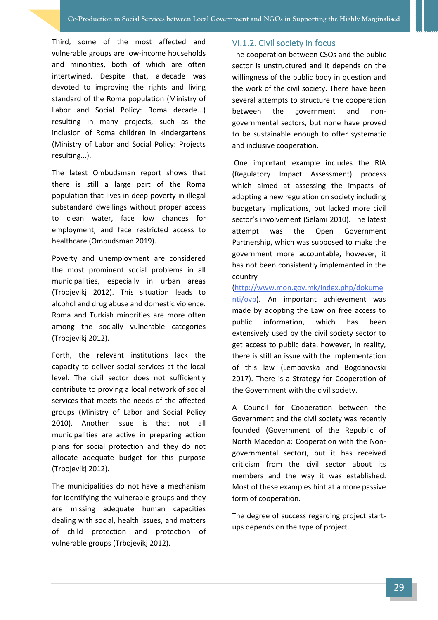Third, some of the most affected and vulnerable groups are low-income households and minorities, both of which are often intertwined. Despite that, a decade was devoted to improving the rights and living standard of the Roma population (Ministry of Labor and Social Policy: Roma decade...) resulting in many projects, such as the inclusion of Roma children in kindergartens (Ministry of Labor and Social Policy: Projects resulting...).

The latest Ombudsman report shows that there is still a large part of the Roma population that lives in deep poverty in illegal substandard dwellings without proper access to clean water, face low chances for employment, and face restricted access to healthcare (Ombudsman 2019).

Poverty and unemployment are considered the most prominent social problems in all municipalities, especially in urban areas (Trbojevikj 2012). This situation leads to alcohol and drug abuse and domestic violence. Roma and Turkish minorities are more often among the socially vulnerable categories (Trbojevikj 2012).

Forth, the relevant institutions lack the capacity to deliver social services at the local level. The civil sector does not sufficiently contribute to proving a local network of social services that meets the needs of the affected groups (Ministry of Labor and Social Policy 2010). Another issue is that not all municipalities are active in preparing action plans for social protection and they do not allocate adequate budget for this purpose (Trbojevikj 2012).

The municipalities do not have a mechanism for identifying the vulnerable groups and they are missing adequate human capacities dealing with social, health issues, and matters of child protection and protection of vulnerable groups (Trbojevikj 2012).

#### <span id="page-32-0"></span>VI.1.2. Civil society in focus

The cooperation between CSOs and the public sector is unstructured and it depends on the willingness of the public body in question and the work of the civil society. There have been several attempts to structure the cooperation between the government and nongovernmental sectors, but none have proved to be sustainable enough to offer systematic and inclusive cooperation.

One important example includes the RIA (Regulatory Impact Assessment) process which aimed at assessing the impacts of adopting a new regulation on society including budgetary implications, but lacked more civil sector's involvement (Selami 2010). The latest attempt was the Open Government Partnership, which was supposed to make the government more accountable, however, it has not been consistently implemented in the country

[\(http://www.mon.gov.mk/index.php/dokume](http://www.mon.gov.mk/index.php/dokumenti/ovp) [nti/ovp\)](http://www.mon.gov.mk/index.php/dokumenti/ovp). An important achievement was made by adopting the Law on free access to public information, which has been extensively used by the civil society sector to get access to public data, however, in reality, there is still an issue with the implementation of this law (Lembovska and Bogdanovski 2017). There is a Strategy for Cooperation of the Government with the civil society.

A Council for Cooperation between the Government and the civil society was recently founded (Government of the Republic of North Macedonia: Cooperation with the Nongovernmental sector), but it has received criticism from the civil sector about its members and the way it was established. Most of these examples hint at a more passive form of cooperation.

The degree of success regarding project startups depends on the type of project.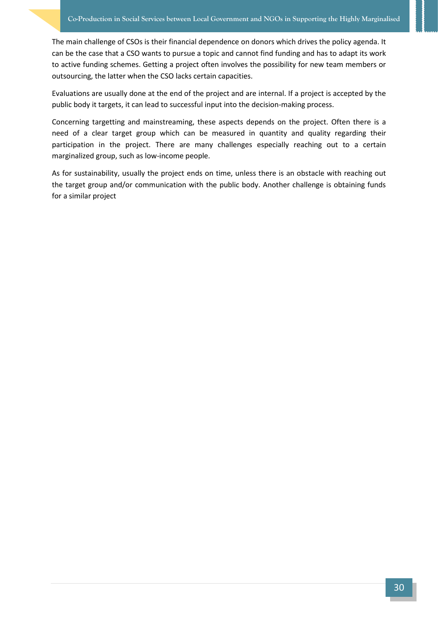The main challenge of CSOs is their financial dependence on donors which drives the policy agenda. It can be the case that a CSO wants to pursue a topic and cannot find funding and has to adapt its work to active funding schemes. Getting a project often involves the possibility for new team members or outsourcing, the latter when the CSO lacks certain capacities.

Evaluations are usually done at the end of the project and are internal. If a project is accepted by the public body it targets, it can lead to successful input into the decision-making process.

Concerning targetting and mainstreaming, these aspects depends on the project. Often there is a need of a clear target group which can be measured in quantity and quality regarding their participation in the project. There are many challenges especially reaching out to a certain marginalized group, such as low-income people.

As for sustainability, usually the project ends on time, unless there is an obstacle with reaching out the target group and/or communication with the public body. Another challenge is obtaining funds for a similar project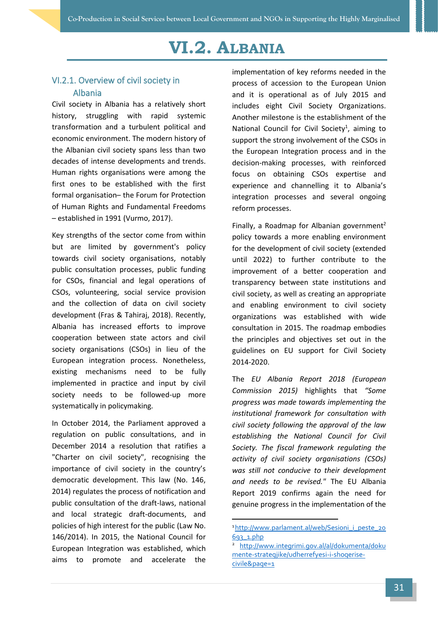# **VI.2. ALBANIA**

#### <span id="page-34-1"></span><span id="page-34-0"></span>VI.2.1. Overview of civil society in Albania

Civil society in Albania has a relatively short history, struggling with rapid systemic transformation and a turbulent political and economic environment. The modern history of the Albanian civil society spans less than two decades of intense developments and trends. Human rights organisations were among the first ones to be established with the first formal organisation– the Forum for Protection of Human Rights and Fundamental Freedoms – established in 1991 (Vurmo, 2017).

Key strengths of the sector come from within but are limited by government's policy towards civil society organisations, notably public consultation processes, public funding for CSOs, financial and legal operations of CSOs, volunteering, social service provision and the collection of data on civil society development (Fras & Tahiraj, 2018). Recently, Albania has increased efforts to improve cooperation between state actors and civil society organisations (CSOs) in lieu of the European integration process. Nonetheless, existing mechanisms need to be fully implemented in practice and input by civil society needs to be followed-up more systematically in policymaking.

In October 2014, the Parliament approved a regulation on public consultations, and in December 2014 a resolution that ratifies a "Charter on civil society", recognising the importance of civil society in the country's democratic development. This law (No. 146, 2014) regulates the process of notification and public consultation of the draft-laws, national and local strategic draft-documents, and policies of high interest for the public (Law No. 146/2014). In 2015, the National Council for European Integration was established, which aims to promote and accelerate the

implementation of key reforms needed in the process of accession to the European Union and it is operational as of July 2015 and includes eight Civil Society Organizations. Another milestone is the establishment of the National Council for Civil Society<sup>1</sup>, aiming to support the strong involvement of the CSOs in the European Integration process and in the decision-making processes, with reinforced focus on obtaining CSOs expertise and experience and channelling it to Albania's integration processes and several ongoing reform processes.

Finally, a Roadmap for Albanian government<sup>2</sup> policy towards a more enabling environment for the development of civil society (extended until 2022) to further contribute to the improvement of a better cooperation and transparency between state institutions and civil society, as well as creating an appropriate and enabling environment to civil society organizations was established with wide consultation in 2015. The roadmap embodies the principles and objectives set out in the guidelines on EU support for Civil Society 2014-2020.

The *EU Albania Report 2018 (European Commission 2015)* highlights that *"Some progress was made towards implementing the institutional framework for consultation with civil society following the approval of the law establishing the National Council for Civil Society. The fiscal framework regulating the activity of civil society organisations (CSOs) was still not conducive to their development and needs to be revised."* The EU Albania Report 2019 confirms again the need for genuine progress in the implementation of the

<sup>1</sup>[http://www.parlament.al/web/Sesioni\\_i\\_peste\\_20](http://www.parlament.al/web/Sesioni_i_peste_20693_1.php) [693\\_1.php](http://www.parlament.al/web/Sesioni_i_peste_20693_1.php)

[http://www.integrimi.gov.al/al/dokumenta/doku](http://www.integrimi.gov.al/al/dokumenta/dokumente-strategjike/udherrefyesi-i-shoqerise-civile&page=1) [mente-strategjike/udherrefyesi-i-shoqerise](http://www.integrimi.gov.al/al/dokumenta/dokumente-strategjike/udherrefyesi-i-shoqerise-civile&page=1)[civile&page=1](http://www.integrimi.gov.al/al/dokumenta/dokumente-strategjike/udherrefyesi-i-shoqerise-civile&page=1)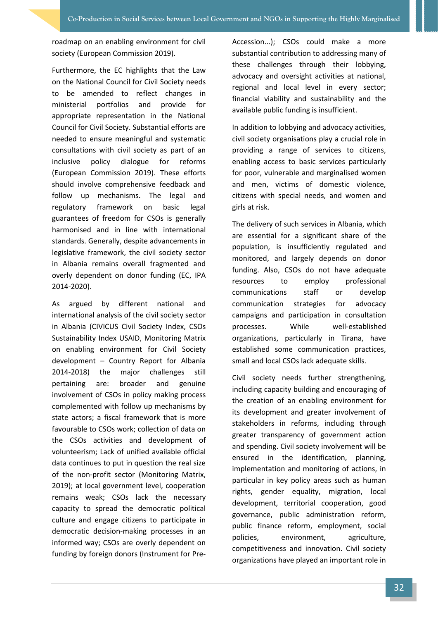roadmap on an enabling environment for civil society (European Commission 2019).

Furthermore, the EC highlights that the Law on the National Council for Civil Society needs to be amended to reflect changes in ministerial portfolios and provide for appropriate representation in the National Council for Civil Society. Substantial efforts are needed to ensure meaningful and systematic consultations with civil society as part of an inclusive policy dialogue for reforms (European Commission 2019). These efforts should involve comprehensive feedback and follow up mechanisms. The legal and regulatory framework on basic legal guarantees of freedom for CSOs is generally harmonised and in line with international standards. Generally, despite advancements in legislative framework, the civil society sector in Albania remains overall fragmented and overly dependent on donor funding (EC, IPA 2014-2020).

As argued by different national and international analysis of the civil society sector in Albania (CIVICUS Civil Society Index, CSOs Sustainability Index USAID, Monitoring Matrix on enabling environment for Civil Society development – Country Report for Albania 2014-2018) the major challenges still pertaining are: broader and genuine involvement of CSOs in policy making process complemented with follow up mechanisms by state actors; a fiscal framework that is more favourable to CSOs work; collection of data on the CSOs activities and development of volunteerism; Lack of unified available official data continues to put in question the real size of the non-profit sector (Monitoring Matrix, 2019); at local government level, cooperation remains weak; CSOs lack the necessary capacity to spread the democratic political culture and engage citizens to participate in democratic decision-making processes in an informed way; CSOs are overly dependent on funding by foreign donors (Instrument for PreAccession...); CSOs could make a more substantial contribution to addressing many of these challenges through their lobbying, advocacy and oversight activities at national, regional and local level in every sector; financial viability and sustainability and the available public funding is insufficient.

In addition to lobbying and advocacy activities, civil society organisations play a crucial role in providing a range of services to citizens, enabling access to basic services particularly for poor, vulnerable and marginalised women and men, victims of domestic violence, citizens with special needs, and women and girls at risk.

The delivery of such services in Albania, which are essential for a significant share of the population, is insufficiently regulated and monitored, and largely depends on donor funding. Also, CSOs do not have adequate resources to employ professional communications staff or develop communication strategies for advocacy campaigns and participation in consultation processes. While well-established organizations, particularly in Tirana, have established some communication practices, small and local CSOs lack adequate skills.

Civil society needs further strengthening, including capacity building and encouraging of the creation of an enabling environment for its development and greater involvement of stakeholders in reforms, including through greater transparency of government action and spending. Civil society involvement will be ensured in the identification, planning, implementation and monitoring of actions, in particular in key policy areas such as human rights, gender equality, migration, local development, territorial cooperation, good governance, public administration reform, public finance reform, employment, social policies, environment, agriculture, competitiveness and innovation. Civil society organizations have played an important role in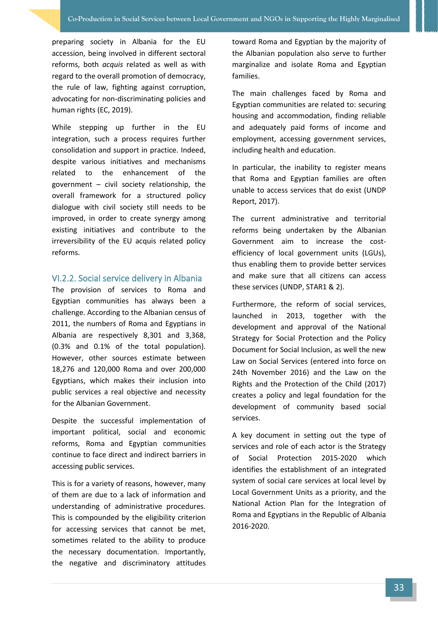preparing society in Albania for the EU accession, being involved in different sectoral reforms, both *acquis* related as well as with regard to the overall promotion of democracy, the rule of law, fighting against corruption, advocating for non-discriminating policies and human rights (EC, 2019).

While stepping up further in the EU integration, such a process requires further consolidation and support in practice. Indeed, despite various initiatives and mechanisms related to the enhancement of the government – civil society relationship, the overall framework for a structured policy dialogue with civil society still needs to be improved, in order to create synergy among existing initiatives and contribute to the irreversibility of the EU acquis related policy reforms.

#### <span id="page-36-0"></span>VI.2.2. Social service delivery in Albania

The provision of services to Roma and Egyptian communities has always been a challenge. According to the Albanian census of 2011, the numbers of Roma and Egyptians in Albania are respectively 8,301 and 3,368, (0.3% and 0.1% of the total population). However, other sources estimate between 18,276 and 120,000 Roma and over 200,000 Egyptians, which makes their inclusion into public services a real objective and necessity for the Albanian Government.

Despite the successful implementation of important political, social and economic reforms, Roma and Egyptian communities continue to face direct and indirect barriers in accessing public services.

This is for a variety of reasons, however, many of them are due to a lack of information and understanding of administrative procedures. This is compounded by the eligibility criterion for accessing services that cannot be met, sometimes related to the ability to produce the necessary documentation. Importantly, the negative and discriminatory attitudes

toward Roma and Egyptian by the majority of the Albanian population also serve to further marginalize and isolate Roma and Egyptian families.

The main challenges faced by Roma and Egyptian communities are related to: securing housing and accommodation, finding reliable and adequately paid forms of income and employment, accessing government services, including health and education.

In particular, the inability to register means that Roma and Egyptian families are often unable to access services that do exist (UNDP Report, 2017).

The current administrative and territorial reforms being undertaken by the Albanian Government aim to increase the costefficiency of local government units (LGUs), thus enabling them to provide better services and make sure that all citizens can access these services (UNDP, STAR1 & 2).

Furthermore, the reform of social services, launched in 2013, together with the development and approval of the National Strategy for Social Protection and the Policy Document for Social Inclusion, as well the new Law on Social Services (entered into force on 24th November 2016) and the Law on the Rights and the Protection of the Child (2017) creates a policy and legal foundation for the development of community based social services.

A key document in setting out the type of services and role of each actor is the Strategy of Social Protection 2015-2020 which identifies the establishment of an integrated system of social care services at local level by Local Government Units as a priority, and the National Action Plan for the Integration of Roma and Egyptians in the Republic of Albania 2016-2020.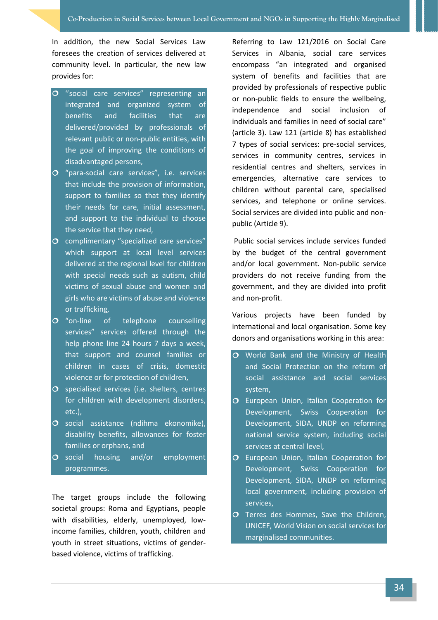In addition, the new Social Services Law foresees the creation of services delivered at community level. In particular, the new law provides for:

- O "social care services" representing an integrated and organized system of benefits and facilities that are delivered/provided by professionals of relevant public or non-public entities, with the goal of improving the conditions of disadvantaged persons,
- O "para-social care services", i.e. services that include the provision of information, support to families so that they identify their needs for care, initial assessment, and support to the individual to choose the service that they need,
- O complimentary "specialized care services" which support at local level services delivered at the regional level for children with special needs such as autism, child victims of sexual abuse and women and girls who are victims of abuse and violence or trafficking,
- O "on-line of telephone counselling services" services offered through the help phone line 24 hours 7 days a week, that support and counsel families or children in cases of crisis, domestic violence or for protection of children,
- $O$  specialised services (i.e. shelters, centres for children with development disorders, etc.),
- O social assistance (ndihma ekonomike), disability benefits, allowances for foster families or orphans, and
- O social housing and/or employment programmes.

The target groups include the following societal groups: Roma and Egyptians, people with disabilities, elderly, unemployed, lowincome families, children, youth, children and youth in street situations, victims of genderbased violence, victims of trafficking.

Referring to Law 121/2016 on Social Care Services in Albania, social care services encompass "an integrated and organised system of benefits and facilities that are provided by professionals of respective public or non-public fields to ensure the wellbeing, independence and social inclusion of individuals and families in need of social care" (article 3). Law 121 (article 8) has established 7 types of social services: pre-social services, services in community centres, services in residential centres and shelters, services in emergencies, alternative care services to children without parental care, specialised services, and telephone or online services. Social services are divided into public and nonpublic (Article 9).

Public social services include services funded by the budget of the central government and/or local government. Non-public service providers do not receive funding from the government, and they are divided into profit and non-profit.

Various projects have been funded by international and local organisation. Some key donors and organisations working in this area:

- O World Bank and the Ministry of Health and Social Protection on the reform of social assistance and social services system,
- O European Union, Italian Cooperation for Development, Swiss Cooperation for Development, SIDA, UNDP on reforming national service system, including social services at central level,
- **O** European Union, Italian Cooperation for Development, Swiss Cooperation for Development, SIDA, UNDP on reforming local government, including provision of services,
- O Terres des Hommes, Save the Children, UNICEF, World Vision on social services for marginalised communities.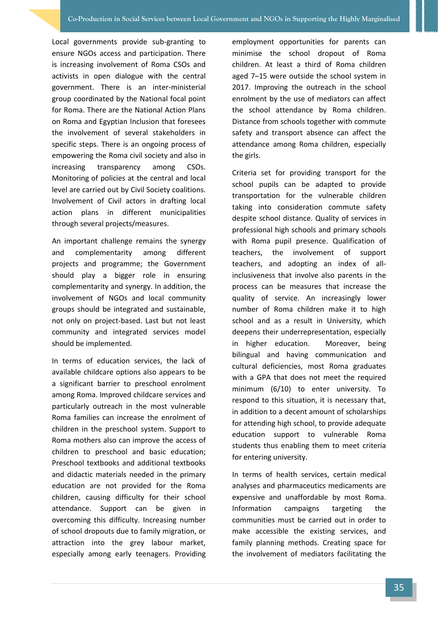Local governments provide sub-granting to ensure NGOs access and participation. There is increasing involvement of Roma CSOs and activists in open dialogue with the central government. There is an inter-ministerial group coordinated by the National focal point for Roma. There are the National Action Plans on Roma and Egyptian Inclusion that foresees the involvement of several stakeholders in specific steps. There is an ongoing process of empowering the Roma civil society and also in increasing transparency among CSOs. Monitoring of policies at the central and local level are carried out by Civil Society coalitions. Involvement of Civil actors in drafting local action plans in different municipalities through several projects/measures.

An important challenge remains the synergy and complementarity among different projects and programme; the Government should play a bigger role in ensuring complementarity and synergy. In addition, the involvement of NGOs and local community groups should be integrated and sustainable, not only on project-based. Last but not least community and integrated services model should be implemented.

In terms of education services, the lack of available childcare options also appears to be a significant barrier to preschool enrolment among Roma. Improved childcare services and particularly outreach in the most vulnerable Roma families can increase the enrolment of children in the preschool system. Support to Roma mothers also can improve the access of children to preschool and basic education; Preschool textbooks and additional textbooks and didactic materials needed in the primary education are not provided for the Roma children, causing difficulty for their school attendance. Support can be given in overcoming this difficulty. Increasing number of school dropouts due to family migration, or attraction into the grey labour market, especially among early teenagers. Providing employment opportunities for parents can minimise the school dropout of Roma children. At least a third of Roma children aged 7–15 were outside the school system in 2017. Improving the outreach in the school enrolment by the use of mediators can affect the school attendance by Roma children. Distance from schools together with commute safety and transport absence can affect the attendance among Roma children, especially the girls.

Criteria set for providing transport for the school pupils can be adapted to provide transportation for the vulnerable children taking into consideration commute safety despite school distance. Quality of services in professional high schools and primary schools with Roma pupil presence. Qualification of teachers, the involvement of support teachers, and adopting an index of allinclusiveness that involve also parents in the process can be measures that increase the quality of service. An increasingly lower number of Roma children make it to high school and as a result in University, which deepens their underrepresentation, especially in higher education. Moreover, being bilingual and having communication and cultural deficiencies, most Roma graduates with a GPA that does not meet the required minimum (6/10) to enter university. To respond to this situation, it is necessary that, in addition to a decent amount of scholarships for attending high school, to provide adequate education support to vulnerable Roma students thus enabling them to meet criteria for entering university.

In terms of health services, certain medical analyses and pharmaceutics medicaments are expensive and unaffordable by most Roma. Information campaigns targeting the communities must be carried out in order to make accessible the existing services, and family planning methods. Creating space for the involvement of mediators facilitating the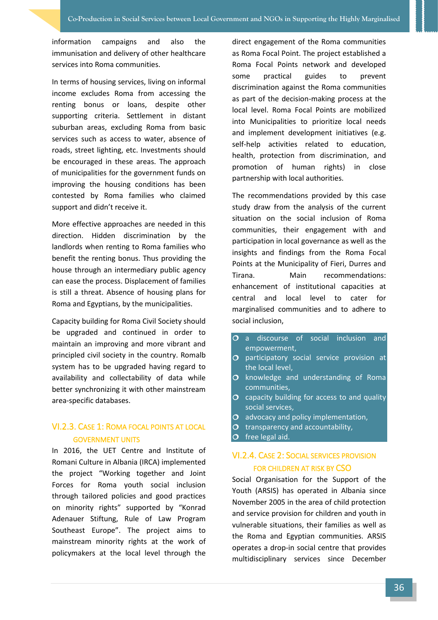information campaigns and also the immunisation and delivery of other healthcare services into Roma communities.

In terms of housing services, living on informal income excludes Roma from accessing the renting bonus or loans, despite other supporting criteria. Settlement in distant suburban areas, excluding Roma from basic services such as access to water, absence of roads, street lighting, etc. Investments should be encouraged in these areas. The approach of municipalities for the government funds on improving the housing conditions has been contested by Roma families who claimed support and didn't receive it.

More effective approaches are needed in this direction. Hidden discrimination by the landlords when renting to Roma families who benefit the renting bonus. Thus providing the house through an intermediary public agency can ease the process. Displacement of families is still a threat. Absence of housing plans for Roma and Egyptians, by the municipalities.

Capacity building for Roma Civil Society should be upgraded and continued in order to maintain an improving and more vibrant and principled civil society in the country. Romalb system has to be upgraded having regard to availability and collectability of data while better synchronizing it with other mainstream area-specific databases.

#### <span id="page-39-0"></span>VI.2.3. CASE 1: ROMA FOCAL POINTS AT LOCAL GOVERNMENT UNITS

In 2016, the UET Centre and Institute of Romani Culture in Albania (IRCA) implemented the project "Working together and Joint Forces for Roma youth social inclusion through tailored policies and good practices on minority rights" supported by "Konrad Adenauer Stiftung, Rule of Law Program Southeast Europe". The project aims to mainstream minority rights at the work of policymakers at the local level through the

direct engagement of the Roma communities as Roma Focal Point. The project established a Roma Focal Points network and developed some practical guides to prevent discrimination against the Roma communities as part of the decision-making process at the local level. Roma Focal Points are mobilized into Municipalities to prioritize local needs and implement development initiatives (e.g. self-help activities related to education, health, protection from discrimination, and promotion of human rights) in close partnership with local authorities.

The recommendations provided by this case study draw from the analysis of the current situation on the social inclusion of Roma communities, their engagement with and participation in local governance as well as the insights and findings from the Roma Focal Points at the Municipality of Fieri, Durres and Tirana. Main recommendations: enhancement of institutional capacities at central and local level to cater for marginalised communities and to adhere to social inclusion,

- O a discourse of social inclusion and empowerment,
- O participatory social service provision at the local level,
- $O$  knowledge and understanding of Roma communities,
- $\overline{O}$  capacity building for access to and quality social services,
- O advocacy and policy implementation.
- $\Omega$  transparency and accountability,
- <span id="page-39-1"></span> $\overline{O}$  free legal aid.

#### VI.2.4. CASE 2: SOCIAL SERVICES PROVISION FOR CHILDREN AT RISK BY CSO

Social Organisation for the Support of the Youth (ARSIS) has operated in Albania since November 2005 in the area of child protection and service provision for children and youth in vulnerable situations, their families as well as the Roma and Egyptian communities. ARSIS operates a drop-in social centre that provides multidisciplinary services since December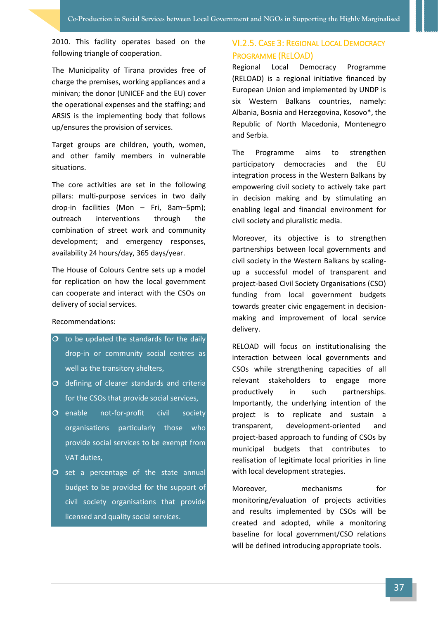2010. This facility operates based on the following triangle of cooperation.

The Municipality of Tirana provides free of charge the premises, working appliances and a minivan; the donor (UNICEF and the EU) cover the operational expenses and the staffing; and ARSIS is the implementing body that follows up/ensures the provision of services.

Target groups are children, youth, women, and other family members in vulnerable situations.

The core activities are set in the following pillars: multi-purpose services in two daily drop-in facilities (Mon – Fri, 8am–5pm); outreach interventions through the combination of street work and community development; and emergency responses, availability 24 hours/day, 365 days/year.

The House of Colours Centre sets up a model for replication on how the local government can cooperate and interact with the CSOs on delivery of social services.

#### Recommendations:

- $\overline{O}$  to be updated the standards for the daily drop-in or community social centres as well as the transitory shelters,
- $\overline{O}$  defining of clearer standards and criteria for the CSOs that provide social services,
- O enable not-for-profit civil society organisations particularly those who provide social services to be exempt from VAT duties,
- $\overline{O}$  set a percentage of the state annual budget to be provided for the support of civil society organisations that provide licensed and quality social services.

#### <span id="page-40-0"></span>VI.2.5. CASE 3: REGIONAL LOCAL DEMOCRACY PROGRAMME (RELOAD)

Regional Local Democracy Programme (RELOAD) is a regional initiative financed by European Union and implemented by UNDP is six Western Balkans countries, namely: Albania, Bosnia and Herzegovina, Kosovo\*, the Republic of North Macedonia, Montenegro and Serbia.

The Programme aims to strengthen participatory democracies and the EU integration process in the Western Balkans by empowering civil society to actively take part in decision making and by stimulating an enabling legal and financial environment for civil society and pluralistic media.

Moreover, its objective is to strengthen partnerships between local governments and civil society in the Western Balkans by scalingup a successful model of transparent and project-based Civil Society Organisations (CSO) funding from local government budgets towards greater civic engagement in decisionmaking and improvement of local service delivery.

RELOAD will focus on institutionalising the interaction between local governments and CSOs while strengthening capacities of all relevant stakeholders to engage more productively in such partnerships. Importantly, the underlying intention of the project is to replicate and sustain a transparent, development-oriented and project-based approach to funding of CSOs by municipal budgets that contributes to realisation of legitimate local priorities in line with local development strategies.

Moreover, mechanisms for monitoring/evaluation of projects activities and results implemented by CSOs will be created and adopted, while a monitoring baseline for local government/CSO relations will be defined introducing appropriate tools.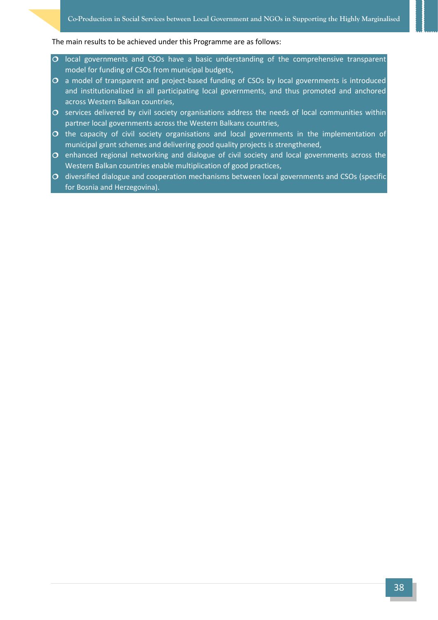#### The main results to be achieved under this Programme are as follows:

- $\circ$  local governments and CSOs have a basic understanding of the comprehensive transparent model for funding of CSOs from municipal budgets,
- $\overline{O}$  a model of transparent and project-based funding of CSOs by local governments is introduced and institutionalized in all participating local governments, and thus promoted and anchored across Western Balkan countries,
- $\sigma$  services delivered by civil society organisations address the needs of local communities within partner local governments across the Western Balkans countries,
- $\circ$  the capacity of civil society organisations and local governments in the implementation of municipal grant schemes and delivering good quality projects is strengthened,
- $\sigma$  enhanced regional networking and dialogue of civil society and local governments across the Western Balkan countries enable multiplication of good practices,
- $\sigma$  diversified dialogue and cooperation mechanisms between local governments and CSOs (specific for Bosnia and Herzegovina).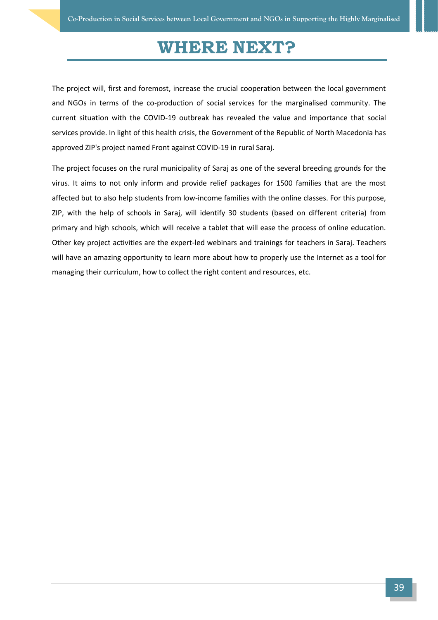### **WHERE NEXT?**

<span id="page-42-0"></span>The project will, first and foremost, increase the crucial cooperation between the local government and NGOs in terms of the co-production of social services for the marginalised community. The current situation with the COVID-19 outbreak has revealed the value and importance that social services provide. In light of this health crisis, the Government of the Republic of North Macedonia has approved ZIP's project named Front against COVID-19 in rural Saraj.

The project focuses on the rural municipality of Saraj as one of the several breeding grounds for the virus. It aims to not only inform and provide relief packages for 1500 families that are the most affected but to also help students from low-income families with the online classes. For this purpose, ZIP, with the help of schools in Saraj, will identify 30 students (based on different criteria) from primary and high schools, which will receive a tablet that will ease the process of online education. Other key project activities are the expert-led webinars and trainings for teachers in Saraj. Teachers will have an amazing opportunity to learn more about how to properly use the Internet as a tool for managing their curriculum, how to collect the right content and resources, etc.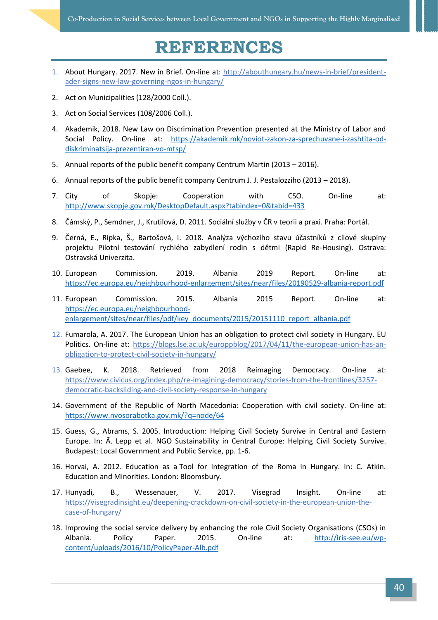# **REFERENCES**

- <span id="page-43-0"></span>1. About Hungary. 2017. New in Brief. On-line at: [http://abouthungary.hu/news-in-brief/president](http://abouthungary.hu/news-in-brief/president-ader-signs-new-law-governing-ngos-in-hungary/)[ader-signs-new-law-governing-ngos-in-hungary/](http://abouthungary.hu/news-in-brief/president-ader-signs-new-law-governing-ngos-in-hungary/)
- 2. Act on Municipalities (128/2000 Coll.).
- 3. Act on Social Services (108/2006 Coll.).
- 4. Akademik, 2018. New Law on Discrimination Prevention presented at the Ministry of Labor and Social Policy. On-line at: [https://akademik.mk/noviot-zakon-za-sprechuvane-i-zashtita-od](https://akademik.mk/noviot-zakon-za-sprechuvane-i-zashtita-od-diskriminatsija-prezentiran-vo-mtsp/)[diskriminatsija-prezentiran-vo-mtsp/](https://akademik.mk/noviot-zakon-za-sprechuvane-i-zashtita-od-diskriminatsija-prezentiran-vo-mtsp/)
- 5. Annual reports of the public benefit company Centrum Martin (2013 2016).
- 6. Annual reports of the public benefit company Centrum J. J. Pestalozziho (2013 2018).
- 7. City of Skopje: Cooperation with CSO. On-line at: <http://www.skopje.gov.mk/DesktopDefault.aspx?tabindex=0&tabid=433>
- 8. Čámský, P., Semdner, J., Krutilová, D. 2011. Sociální služby v ČR v teorii a praxi. Praha: Portál.
- 9. Černá, E., Ripka, Š., Bartošová, I. 2018. Analýza výchozího stavu účastníků z cílové skupiny projektu Pilotní testování rychlého zabydlení rodin s dětmi (Rapid Re-Housing). Ostrava: Ostravská Univerzita.
- 10. European Commission. 2019. Albania 2019 Report. On-line at: <https://ec.europa.eu/neighbourhood-enlargement/sites/near/files/20190529-albania-report.pdf>
- 11. European Commission. 2015. Albania 2015 Report. On-line at: [https://ec.europa.eu/neighbourhood](https://ec.europa.eu/neighbourhood-enlargement/sites/near/files/pdf/key_documents/2015/20151110_report_albania.pdf)[enlargement/sites/near/files/pdf/key\\_documents/2015/20151110\\_report\\_albania.pdf](https://ec.europa.eu/neighbourhood-enlargement/sites/near/files/pdf/key_documents/2015/20151110_report_albania.pdf)
- 12. Fumarola, A. 2017. The European Union has an obligation to protect civil society in Hungary. EU Politics. On-line at: [https://blogs.lse.ac.uk/europpblog/2017/04/11/the-european-union-has-an](https://blogs.lse.ac.uk/europpblog/2017/04/11/the-european-union-has-an-obligation-to-protect-civil-society-in-hungary/)[obligation-to-protect-civil-society-in-hungary/](https://blogs.lse.ac.uk/europpblog/2017/04/11/the-european-union-has-an-obligation-to-protect-civil-society-in-hungary/)
- 13. Gaebee, K. 2018. Retrieved from 2018 Reimaging Democracy. On-line at: [https://www.civicus.org/index.php/re-imagining-democracy/stories-from-the-frontlines/3257](https://www.civicus.org/index.php/re-imagining-democracy/stories-from-the-frontlines/3257-democratic-backsliding-and-civil-society-response-in-hungary) [democratic-backsliding-and-civil-society-response-in-hungary](https://www.civicus.org/index.php/re-imagining-democracy/stories-from-the-frontlines/3257-democratic-backsliding-and-civil-society-response-in-hungary)
- 14. Government of the Republic of North Macedonia: Cooperation with civil society. On-line at: <https://www.nvosorabotka.gov.mk/?q=node/64>
- 15. Guess, G., Abrams, S. 2005. Introduction: Helping Civil Society Survive in Central and Eastern Europe. In: Ã. Lepp et al. NGO Sustainability in Central Europe: Helping Civil Society Survive. Budapest: Local Government and Public Service, pp. 1-6.
- 16. Horvai, A. 2012. Education as a Tool for Integration of the Roma in Hungary. In: C. Atkin. Education and Minorities. London: Bloomsbury.
- 17. Hunyadi, B., Wessenauer, V. 2017. Visegrad Insight. On-line at: [https://visegradinsight.eu/deepening-crackdown-on-civil-society-in-the-european-union-the](https://visegradinsight.eu/deepening-crackdown-on-civil-society-in-the-european-union-the-case-of-hungary/)[case-of-hungary/](https://visegradinsight.eu/deepening-crackdown-on-civil-society-in-the-european-union-the-case-of-hungary/)
- 18. Improving the social service delivery by enhancing the role Civil Society Organisations (CSOs) in Albania. Policy Paper. 2015. On-line at: [http://iris-see.eu/wp](http://iris-see.eu/wp-content/uploads/2016/10/PolicyPaper-Alb.pdf)[content/uploads/2016/10/PolicyPaper-Alb.pdf](http://iris-see.eu/wp-content/uploads/2016/10/PolicyPaper-Alb.pdf)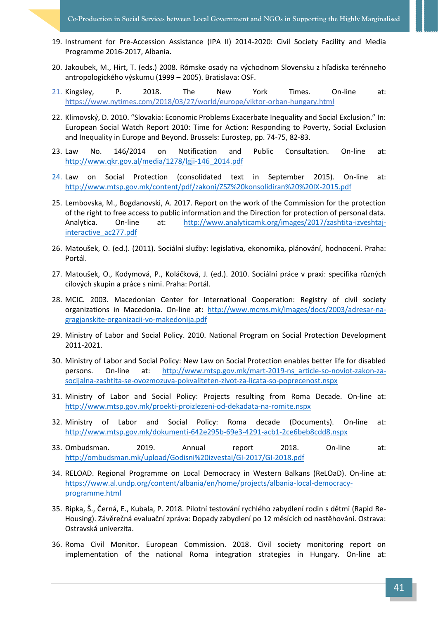- 19. Instrument for Pre-Accession Assistance (IPA II) 2014-2020: Civil Society Facility and Media Programme 2016-2017, Albania.
- 20. Jakoubek, M., Hirt, T. (eds.) 2008. Rómske osady na východnom Slovensku z hľadiska terénneho antropologického výskumu (1999 – 2005). Bratislava: OSF.
- 21. Kingsley, P. 2018. The New York Times. On-line at: <https://www.nytimes.com/2018/03/27/world/europe/viktor-orban-hungary.html>
- 22. Klimovský, D. 2010. "Slovakia: Economic Problems Exacerbate Inequality and Social Exclusion." In: European Social Watch Report 2010: Time for Action: Responding to Poverty, Social Exclusion and Inequality in Europe and Beyond. Brussels: Eurostep, pp. 74-75, 82-83.
- 23. Law No. 146/2014 on Notification and Public Consultation. On-line at: [http://www.qkr.gov.al/media/1278/lgji-146\\_2014.pdf](http://www.qkr.gov.al/media/1278/lgji-146_2014.pdf)
- 24. Law on Social Protection (consolidated text in September 2015). On-line at: <http://www.mtsp.gov.mk/content/pdf/zakoni/ZSZ%20konsolidiran%20%20IX-2015.pdf>
- 25. Lembovska, M., Bogdanovski, A. 2017. Report on the work of the Commission for the protection of the right to free access to public information and the Direction for protection of personal data. Analytica. On-line at: [http://www.analyticamk.org/images/2017/zashtita-izveshtaj](http://www.analyticamk.org/images/2017/zashtita-izveshtaj-interactive_ac277.pdf)[interactive\\_ac277.pdf](http://www.analyticamk.org/images/2017/zashtita-izveshtaj-interactive_ac277.pdf)
- 26. Matoušek, O. (ed.). (2011). Sociální služby: legislativa, ekonomika, plánování, hodnocení. Praha: Portál.
- 27. Matoušek, O., Kodymová, P., Koláčková, J. (ed.). 2010. Sociální práce v praxi: specifika různých cílových skupin a práce s nimi. Praha: Portál.
- 28. MCIC. 2003. Macedonian Center for International Cooperation: Registry of civil society organizations in Macedonia. On-line at: [http://www.mcms.mk/images/docs/2003/adresar-na](http://www.mcms.mk/images/docs/2003/adresar-na-gragjanskite-organizacii-vo-makedonija.pdf)[gragjanskite-organizacii-vo-makedonija.pdf](http://www.mcms.mk/images/docs/2003/adresar-na-gragjanskite-organizacii-vo-makedonija.pdf)
- 29. Ministry of Labor and Social Policy. 2010. National Program on Social Protection Development 2011-2021.
- 30. Ministry of Labor and Social Policy: New Law on Social Protection enables better life for disabled persons. On-line at: [http://www.mtsp.gov.mk/mart-2019-ns\\_article-so-noviot-zakon-za](http://www.mtsp.gov.mk/mart-2019-ns_article-so-noviot-zakon-za-socijalna-zashtita-se-ovozmozuva-pokvaliteten-zivot-za-licata-so-poprecenost.nspx)[socijalna-zashtita-se-ovozmozuva-pokvaliteten-zivot-za-licata-so-poprecenost.nspx](http://www.mtsp.gov.mk/mart-2019-ns_article-so-noviot-zakon-za-socijalna-zashtita-se-ovozmozuva-pokvaliteten-zivot-za-licata-so-poprecenost.nspx)
- 31. Ministry of Labor and Social Policy: Projects resulting from Roma Decade. On-line at: <http://www.mtsp.gov.mk/proekti-proizlezeni-od-dekadata-na-romite.nspx>
- 32. Ministry of Labor and Social Policy: Roma decade (Documents). On-line at: <http://www.mtsp.gov.mk/dokumenti-642e295b-69e3-4291-acb1-2ce6beb8cdd8.nspx>
- 33. Ombudsman. 2019. Annual report 2018. On-line at: <http://ombudsman.mk/upload/Godisni%20izvestai/GI-2017/GI-2018.pdf>
- 34. RELOAD. Regional Programme on Local Democracy in Western Balkans (ReLOaD). On-line at: [https://www.al.undp.org/content/albania/en/home/projects/albania-local-democracy](https://www.al.undp.org/content/albania/en/home/projects/albania-local-democracy-programme.html)[programme.html](https://www.al.undp.org/content/albania/en/home/projects/albania-local-democracy-programme.html)
- 35. Ripka, Š., Černá, E., Kubala, P. 2018. Pilotní testování rychlého zabydlení rodin s dětmi (Rapid Re-Housing). Závěrečná evaluační zpráva: Dopady zabydlení po 12 měsících od nastěhování. Ostrava: Ostravská univerzita.
- 36. Roma Civil Monitor. European Commission. 2018. Civil society monitoring report on implementation of the national Roma integration strategies in Hungary. On-line at: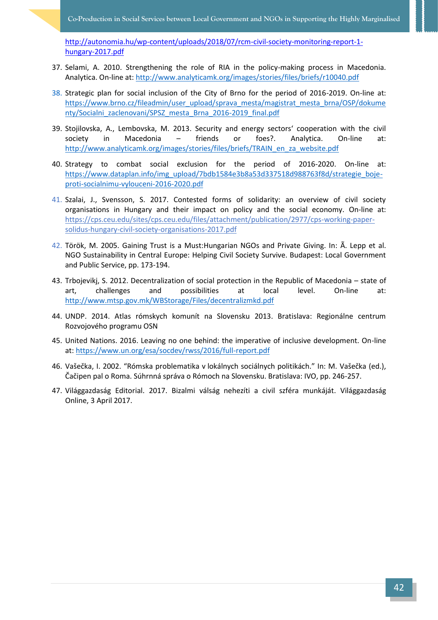[http://autonomia.hu/wp-content/uploads/2018/07/rcm-civil-society-monitoring-report-1](http://autonomia.hu/wp-content/uploads/2018/07/rcm-civil-society-monitoring-report-1-hungary-2017.pdf) [hungary-2017.pdf](http://autonomia.hu/wp-content/uploads/2018/07/rcm-civil-society-monitoring-report-1-hungary-2017.pdf)

- 37. Selami, A. 2010. Strengthening the role of RIA in the policy-making process in Macedonia. Analytica. On-line at[: http://www.analyticamk.org/images/stories/files/briefs/r10040.pdf](http://www.analyticamk.org/images/stories/files/briefs/r10040.pdf)
- 38. Strategic plan for social inclusion of the City of Brno for the period of 2016-2019. On-line at: [https://www.brno.cz/fileadmin/user\\_upload/sprava\\_mesta/magistrat\\_mesta\\_brna/OSP/dokume](https://www.brno.cz/fileadmin/user_upload/sprava_mesta/magistrat_mesta_brna/OSP/dokumenty/Socialni_zaclenovani/SPSZ_mesta_Brna_2016-2019_final.pdf) nty/Socialni zaclenovani/SPSZ mesta Brna 2016-2019 final.pdf
- 39. Stojilovska, A., Lembovska, M. 2013. Security and energy sectors' cooperation with the civil society in Macedonia – friends or foes?. Analytica. On-line at: [http://www.analyticamk.org/images/stories/files/briefs/TRAIN\\_en\\_za\\_website.pdf](http://www.analyticamk.org/images/stories/files/briefs/TRAIN_en_za_website.pdf)
- 40. Strategy to combat social exclusion for the period of 2016-2020. On-line at: [https://www.dataplan.info/img\\_upload/7bdb1584e3b8a53d337518d988763f8d/strategie\\_boje](https://www.dataplan.info/img_upload/7bdb1584e3b8a53d337518d988763f8d/strategie_boje-proti-socialnimu-vylouceni-2016-2020.pdf)[proti-socialnimu-vylouceni-2016-2020.pdf](https://www.dataplan.info/img_upload/7bdb1584e3b8a53d337518d988763f8d/strategie_boje-proti-socialnimu-vylouceni-2016-2020.pdf)
- 41. Szalai, J., Svensson, S. 2017. Contested forms of solidarity: an overview of civil society organisations in Hungary and their impact on policy and the social economy. On-line at: [https://cps.ceu.edu/sites/cps.ceu.edu/files/attachment/publication/2977/cps-working-paper](https://cps.ceu.edu/sites/cps.ceu.edu/files/attachment/publication/2977/cps-working-paper-solidus-hungary-civil-society-organisations-2017.pdf)[solidus-hungary-civil-society-organisations-2017.pdf](https://cps.ceu.edu/sites/cps.ceu.edu/files/attachment/publication/2977/cps-working-paper-solidus-hungary-civil-society-organisations-2017.pdf)
- 42. Török, M. 2005. Gaining Trust is a Must:Hungarian NGOs and Private Giving. In: Ã. Lepp et al. NGO Sustainability in Central Europe: Helping Civil Society Survive. Budapest: Local Government and Public Service, pp. 173-194.
- 43. Trbojevikj, S. 2012. Decentralization of social protection in the Republic of Macedonia state of art, challenges and possibilities at local level. On-line at: <http://www.mtsp.gov.mk/WBStorage/Files/decentralizmkd.pdf>
- 44. UNDP. 2014. Atlas rómskych komunít na Slovensku 2013. Bratislava: Regionálne centrum Rozvojového programu OSN
- 45. United Nations. 2016. Leaving no one behind: the imperative of inclusive development. On-line at:<https://www.un.org/esa/socdev/rwss/2016/full-report.pdf>
- 46. Vašečka, I. 2002. "Rómska problematika v lokálnych sociálnych politikách." In: M. Vašečka (ed.), Čačipen pal o Roma. Súhrnná správa o Rómoch na Slovensku. Bratislava: IVO, pp. 246-257.
- 47. Világgazdaság Editorial. 2017. Bizalmi válság nehezíti a civil szféra munkáját. Világgazdaság Online, 3 April 2017.